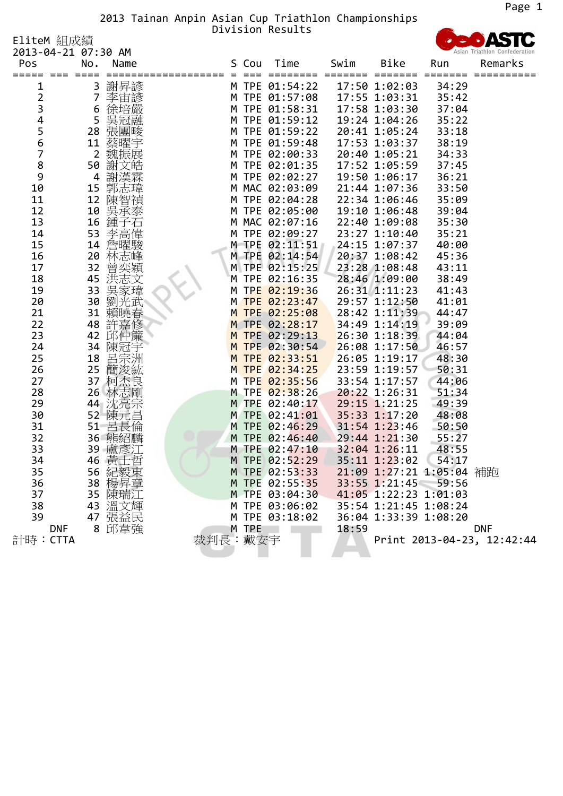Page 1<br>
2013 Tainan Anpin Asian Cup Triathlon Championships<br>
2013-04-21 07:30 AM

<sup>2013</sup>‐04‐<sup>21</sup> 07:30 AM Pos No. Name <sup>S</sup> Cou Time Swim Bike Run Remarks ===== === ==== =================== <sup>=</sup> === ======== ======= ======= ======= ========== <sup>1</sup> <sup>3</sup> 謝昇諺 <sup>M</sup> TPE 01:54:22 17:50 1:02:03 34:29 <sup>2</sup> <sup>7</sup> 李宙諺 <sup>M</sup> TPE 01:57:08 17:55 1:03:31 35:42 <sup>3</sup> <sup>6</sup> 徐培嚴 <sup>M</sup> TPE 01:58:31 17:58 1:03:30 37:04 <sup>4</sup> <sup>5</sup> 吳冠融 <sup>M</sup> TPE 01:59:12 19:24 1:04:26 35:22 <sup>5</sup> <sup>28</sup> 張團畯 <sup>M</sup> TPE 01:59:22 20:41 1:05:24 33:18 <sup>6</sup> <sup>11</sup> 蔡曜宇 <sup>M</sup> TPE 01:59:48 17:53 1:03:37 38:19 <sup>7</sup> <sup>2</sup> 魏振展 <sup>M</sup> TPE 02:00:33 20:40 1:05:21 34:33 <sup>8</sup> <sup>50</sup> 謝文皓 <sup>M</sup> TPE 02:01:35 17:52 1:05:59 37:45 <sup>9</sup> <sup>4</sup> 謝漢霖 <sup>M</sup> TPE 02:02:27 19:50 1:06:17 36:21 <sup>10</sup> <sup>15</sup> 郭志瑋 <sup>M</sup> MAC 02:03:09 21:44 1:07:36 33:50 <sup>11</sup> <sup>12</sup> 陳智禎 <sup>M</sup> TPE 02:04:28 22:34 1:06:46 35:09 <sup>12</sup> <sup>10</sup> 吳承泰 <sup>M</sup> TPE 02:05:00 19:10 1:06:48 39:04 <sup>13</sup> <sup>16</sup> 鍾子石 <sup>M</sup> MAC 02:07:16 22:40 1:09:08 35:30 <sup>14</sup> <sup>53</sup> 李高偉 <sup>M</sup> TPE 02:09:27 23:27 1:10:40 35:21 <sup>15</sup> <sup>14</sup> 詹曜駿 <sup>M</sup> TPE 02:11:51 24:15 1:07:37 40:00 <sup>16</sup> <sup>20</sup> 林志峰 <sup>M</sup> TPE 02:14:54 20:37 1:08:42 45:36 <sup>17</sup> <sup>32</sup> 曾奕穎 <sup>M</sup> TPE 02:15:25 23:28 1:08:48 43:11 <sup>18</sup> <sup>45</sup> 洪志文 <sup>M</sup> TPE 02:16:35 28:46 1:09:00 38:49 <sup>19</sup> <sup>33</sup> 吳家瑋 <sup>M</sup> TPE 02:19:36 26:31 1:11:23 41:43 <sup>20</sup> <sup>30</sup> 劉光武 <sup>M</sup> TPE 02:23:47 29:57 1:12:50 41:01 <sup>21</sup> <sup>31</sup> 賴曉春 <sup>M</sup> TPE 02:25:08 28:42 1:11:39 44:47 <sup>22</sup> <sup>48</sup> 許嘉修 <sup>M</sup> TPE 02:28:17 34:49 1:14:19 39:09 <sup>23</sup> <sup>42</sup> 邱仲簾 <sup>M</sup> TPE 02:29:13 26:30 1:18:39 44:04 <sup>24</sup> <sup>34</sup> 陳冠宇 <sup>M</sup> TPE 02:30:54 26:08 1:17:50 46:57 <sup>25</sup> <sup>18</sup> 呂宗洲 <sup>M</sup> TPE 02:33:51 26:05 1:19:17 48:30 <sup>26</sup> <sup>25</sup> 簡浚紘 <sup>M</sup> TPE 02:34:25 23:59 1:19:57 50:31 <sup>27</sup> <sup>37</sup> 柯杰良 <sup>M</sup> TPE 02:35:56 33:54 1:17:57 44:06 <sup>28</sup> <sup>26</sup> 林志剛 <sup>M</sup> TPE 02:38:26 20:22 1:26:31 51:34 <sup>29</sup> <sup>44</sup> 沈亮宗 <sup>M</sup> TPE 02:40:17 29:15 1:21:25 49:39 <sup>30</sup> <sup>52</sup> 陳元昌 <sup>M</sup> TPE 02:41:01 35:33 1:17:20 48:08 <sup>31</sup> <sup>51</sup> 呂長倫 <sup>M</sup> TPE 02:46:29 31:54 1:23:46 50:50 <sup>32</sup> <sup>36</sup> 熊紹麟 <sup>M</sup> TPE 02:46:40 29:44 1:21:30 55:27 <sup>33</sup> <sup>39</sup> 盧彥江 <sup>M</sup> TPE 02:47:10 32:04 1:26:11 48:55 <sup>34</sup> <sup>46</sup> 黃士哲 <sup>M</sup> TPE 02:52:29 35:11 1:23:02 54:17 <sup>35</sup> <sup>56</sup> 紀毅東 <sup>M</sup> TPE 02:53:33 21:09 1:27:21 1:05:04 補跑 <sup>36</sup> <sup>38</sup> 楊昇章 <sup>M</sup> TPE 02:55:35 33:55 1:21:45 59:56 <sup>37</sup> <sup>35</sup> 陳瑞江 <sup>M</sup> TPE 03:04:30 41:05 1:22:23 1:01:03 <sup>38</sup> <sup>43</sup> 溫文輝 <sup>M</sup> TPE 03:06:02 35:54 1:21:45 1:08:24 <sup>39</sup> <sup>47</sup> 張益民 <sup>M</sup> TPE 03:18:02 36:04 1:33:39 1:08:20 DNF <sup>8</sup> 邱韋強 <sup>M</sup> TPE 18:59 DNF 計時:CTTA 裁判長:戴安宇 Print <sup>2013</sup>‐04‐23, 12:42:44

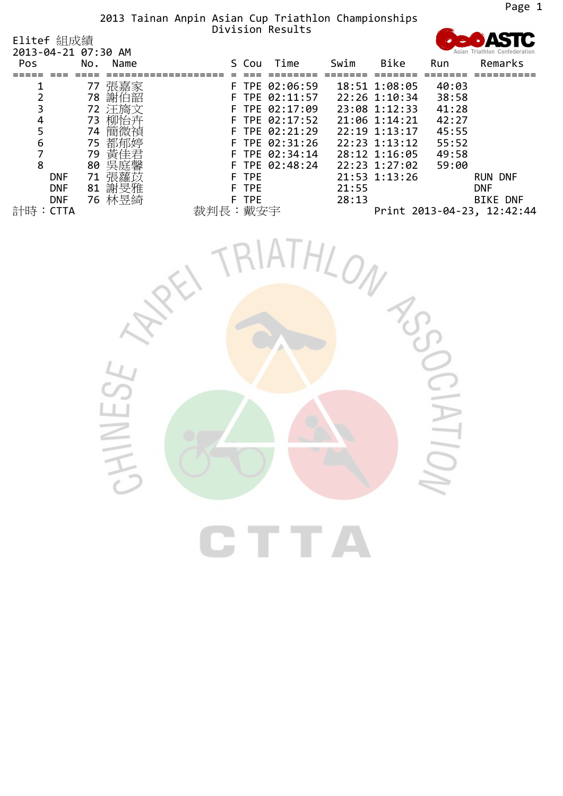| LIITET &HLD火&貝<br>2013-04-21 07:30 AM |     |        |      |       |                  |       |               |       |                            |
|---------------------------------------|-----|--------|------|-------|------------------|-------|---------------|-------|----------------------------|
| <b>Pos</b>                            | No. | Name   |      | S Cou | Time             | Swim  | <b>Bike</b>   | Run   | Remarks                    |
|                                       |     |        |      |       |                  |       |               |       |                            |
|                                       | 77  | 張嘉家    |      |       | F TPE 02:06:59   |       | 18:51 1:08:05 | 40:03 |                            |
|                                       | 78  | 謝伯韶    |      |       | F TPE 02:11:57   |       | 22:26 1:10:34 | 38:58 |                            |
|                                       | 72  | 汪旖文    |      |       | F TPE 02:17:09   |       | 23:08 1:12:33 | 41:28 |                            |
| 4                                     | 73  | 柳怡卉    |      |       | F TPE 02:17:52   |       | 21:06 1:14:21 | 42:27 |                            |
|                                       | 74  | 簡微禎    |      |       | F TPE 02:21:29   |       | 22:19 1:13:17 | 45:55 |                            |
| 6                                     | 75  | 都郁婷    |      |       | F TPE 02:31:26   |       | 22:23 1:13:12 | 55:52 |                            |
|                                       | 79  | 黃佳君    |      |       | F TPE $02:34:14$ |       | 28:12 1:16:05 | 49:58 |                            |
| 8                                     | 80  | 吳庭馨    |      |       | F TPE $02:48:24$ |       | 22:23 1:27:02 | 59:00 |                            |
| <b>DNF</b>                            | 71  | 張蘿苡    |      | F TPE |                  |       | 21:53 1:13:26 |       | <b>RUN DNF</b>             |
| <b>DNF</b>                            | 81  | 謝旻雅    |      | F TPE |                  | 21:55 |               |       | <b>DNF</b>                 |
| <b>DNF</b>                            |     | 76 林昱綺 |      | F TPE |                  | 28:13 |               |       | <b>BIKE DNF</b>            |
| 計時<br><b>CTTA</b>                     |     |        | 裁判長: | 戴安宇   |                  |       |               |       | Print 2013-04-23, 12:42:44 |

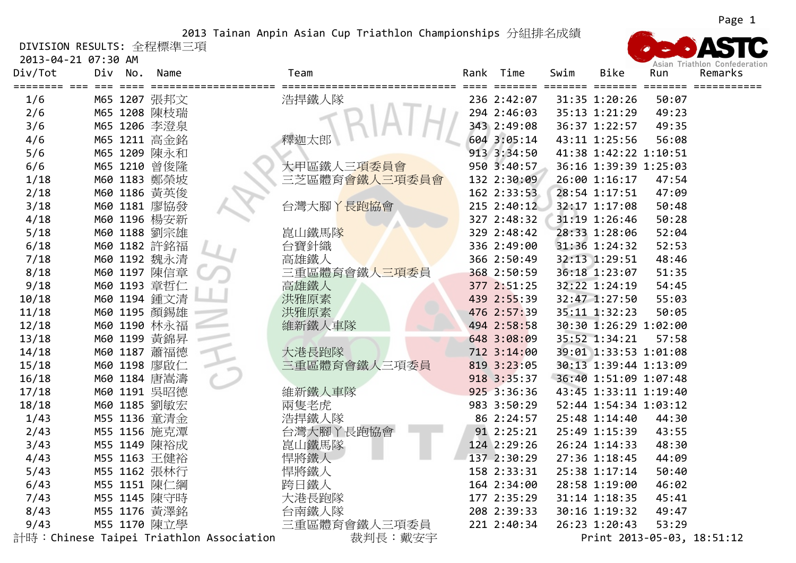DIVISION RESULTS: 全程標準三項

| 2013-04-21 07:30 AM<br>Div/Tot | Div | No. | Name         |                                          | Team                     |  | Rank Time       | Swim | Bike                  | Run                                             | Asian Triathlon Confederation<br>Remarks |
|--------------------------------|-----|-----|--------------|------------------------------------------|--------------------------|--|-----------------|------|-----------------------|-------------------------------------------------|------------------------------------------|
| 1/6                            |     |     | M65 1207 張邦文 |                                          | ===============<br>浩捍鐵人隊 |  | 236 2:42:07     |      | 31:35 1:20:26         | -------- ------- ------- ------- -----<br>50:07 |                                          |
| 2/6                            |     |     | M65 1208 陳枝瑞 |                                          |                          |  | 294 2:46:03     |      | 35:13 1:21:29         | 49:23                                           |                                          |
| 3/6                            |     |     | M65 1206 李澄泉 |                                          |                          |  | 343 2:49:08     |      | 36:37 1:22:57         | 49:35                                           |                                          |
| 4/6                            |     |     | M65 1211 高金銘 |                                          | 釋迦太郎                     |  | 604 3:05:14     |      | 43:11 1:25:56         | 56:08                                           |                                          |
| 5/6                            |     |     | M65 1209 陳永和 |                                          |                          |  | 913 3:34:50     |      | 41:38 1:42:22 1:10:51 |                                                 |                                          |
| 6/6                            |     |     | M65 1210 曾俊隆 |                                          | 大甲區鐵人三項委員會               |  | 950 3:40:57     |      | 36:16 1:39:39 1:25:03 |                                                 |                                          |
| 1/18                           |     |     | M60 1183 鄭榮坡 |                                          | 三芝區體育會鐵人三項委員會            |  | 132 2:30:09     |      | 26:00 1:16:17         | 47:54                                           |                                          |
| 2/18                           |     |     | M60 1186 黄英俊 |                                          |                          |  | 162 2:33:53     |      | 28:54 1:17:51         | 47:09                                           |                                          |
| 3/18                           |     |     | M60 1181 廖協發 |                                          | 台灣大腳丫長跑協會                |  | $215$ $2:40:12$ |      | 32:17 1:17:08         | 50:48                                           |                                          |
| 4/18                           |     |     | M60 1196 楊安新 |                                          |                          |  | 327 2:48:32     |      | 31:19 1:26:46         | 50:28                                           |                                          |
| 5/18                           |     |     | M60 1188 劉宗雄 |                                          | 崑山鐵馬隊                    |  | 329 2:48:42     |      | 28:33 1:28:06         | 52:04                                           |                                          |
| 6/18                           |     |     | M60 1182 許銘福 |                                          | 台寶針織                     |  | 336 2:49:00     |      | 31:36 1:24:32         | 52:53                                           |                                          |
| 7/18                           |     |     | M60 1192 魏永清 |                                          | 高雄鐵人                     |  | 366 2:50:49     |      | 32:13 1:29:51         | 48:46                                           |                                          |
| 8/18                           |     |     | M60 1197 陳信章 |                                          | 三重區體育會鐵人三項委員             |  | 368 2:50:59     |      | 36:18 1:23:07         | 51:35                                           |                                          |
| 9/18                           |     |     | M60 1193 章哲仁 |                                          | 高雄鐵人                     |  | 377 2:51:25     |      | 32:22 1:24:19         | 54:45                                           |                                          |
| 10/18                          |     |     | M60 1194 鍾文清 |                                          | 洪雅原素                     |  | 439 2:55:39     |      | 32:47 1:27:50         | 55:03                                           |                                          |
| 11/18                          |     |     | M60 1195 顏錫雄 |                                          | 洪雅原素                     |  | 476 2:57:39     |      | 35:11 1:32:23         | 50:05                                           |                                          |
| 12/18                          |     |     | M60 1190 林永福 |                                          | 維新鐵人車隊                   |  | 494 2:58:58     |      | 30:30 1:26:29 1:02:00 |                                                 |                                          |
| 13/18                          |     |     | M60 1199 黃錦昇 |                                          |                          |  | 648 3:08:09     |      | 35:52 1:34:21         | 57:58                                           |                                          |
| 14/18                          |     |     | M60 1187 蕭福德 |                                          | 大港長跑隊                    |  | 712 3:14:00     |      | 39:01 1:33:53 1:01:08 |                                                 |                                          |
| 15/18                          |     |     | M60 1198 廖啟仁 |                                          | 三重區體育會鐵人三項委員             |  | 819 3:23:05     |      | 30:13 1:39:44 1:13:09 |                                                 |                                          |
| 16/18                          |     |     | M60 1184 唐嵩濤 |                                          |                          |  | 918 3:35:37     |      | 36:40 1:51:09 1:07:48 |                                                 |                                          |
| 17/18                          |     |     | M60 1191 吳昭德 |                                          | 維新鐵人車隊                   |  | 925 3:36:36     |      | 43:45 1:33:11 1:19:40 |                                                 |                                          |
| 18/18                          |     |     | M60 1185 劉敏宏 |                                          | 兩隻老虎                     |  | 983 3:50:29     |      | 52:44 1:54:34 1:03:12 |                                                 |                                          |
| 1/43                           |     |     | M55 1136 童清金 |                                          | 浩捍鐵人隊                    |  | 86 2:24:57      |      | 25:48 1:14:40         | 44:30                                           |                                          |
| 2/43                           |     |     | M55 1156 施克潭 |                                          | 台灣大腳丫長跑協會                |  | 91 2:25:21      |      | 25:49 1:15:39         | 43:55                                           |                                          |
| 3/43                           |     |     | M55 1149 陳裕成 |                                          | 崑山鐵馬隊                    |  | 124 2:29:26     |      | 26:24 1:14:33         | 48:30                                           |                                          |
| 4/43                           |     |     | M55 1163 王健裕 |                                          | 悍將鐵人                     |  | 137 2:30:29     |      | 27:36 1:18:45         | 44:09                                           |                                          |
| 5/43                           |     |     | M55 1162 張林行 |                                          | 悍將鐵人                     |  | 158 2:33:31     |      | 25:38 1:17:14         | 50:40                                           |                                          |
| 6/43                           |     |     | M55 1151 陳仁綱 |                                          | 跨日鐵人                     |  | 164 2:34:00     |      | 28:58 1:19:00         | 46:02                                           |                                          |
| 7/43                           |     |     | M55 1145 陳守時 |                                          | 大港長跑隊                    |  | 177 2:35:29     |      | 31:14 1:18:35         | 45:41                                           |                                          |
| 8/43                           |     |     | M55 1176 黃澤銘 |                                          | 台南鐵人隊                    |  | 208 2:39:33     |      | 30:16 1:19:32         | 49:47                                           |                                          |
| 9/43                           |     |     | M55 1170 陳立學 |                                          | 三重區體育會鐵人三項委員             |  | 221 2:40:34     |      | 26:23 1:20:43         | 53:29                                           |                                          |
|                                |     |     |              | 計時: Chinese Taipei Triathlon Association | 裁判長:戴安宇                  |  |                 |      |                       |                                                 | Print 2013-05-03, 18:51:12               |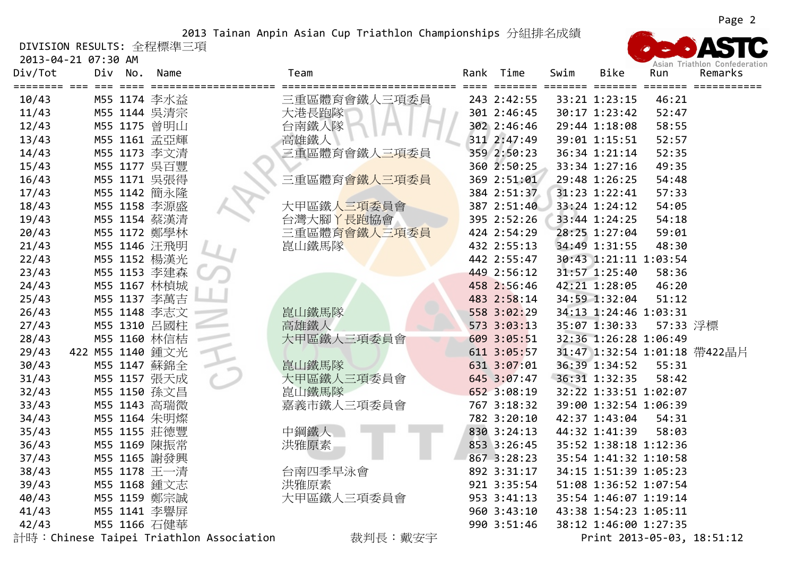DIVISION RESULTS: 全程標準三項

2013‐04‐21 07:30 AM



Asian Triathlon Confederation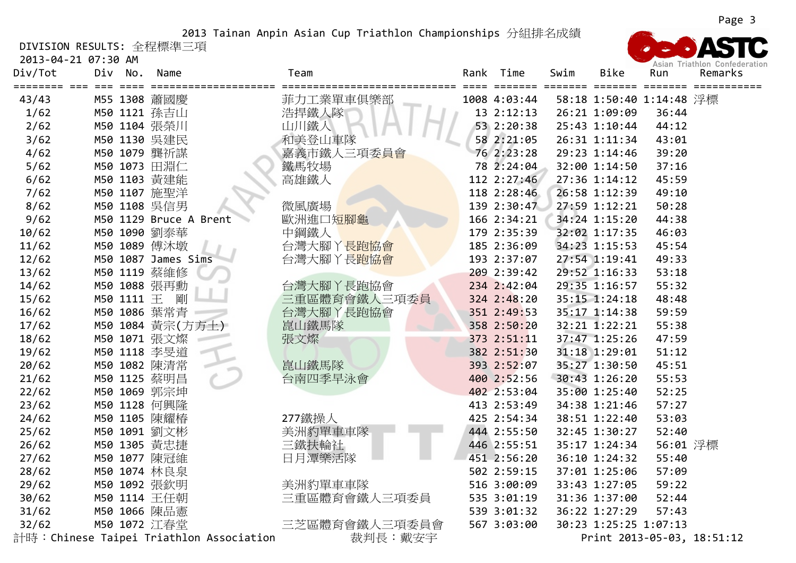DIVISION RESULTS: 全程標準三項

2013‐04‐21 07:30 AM



Page 3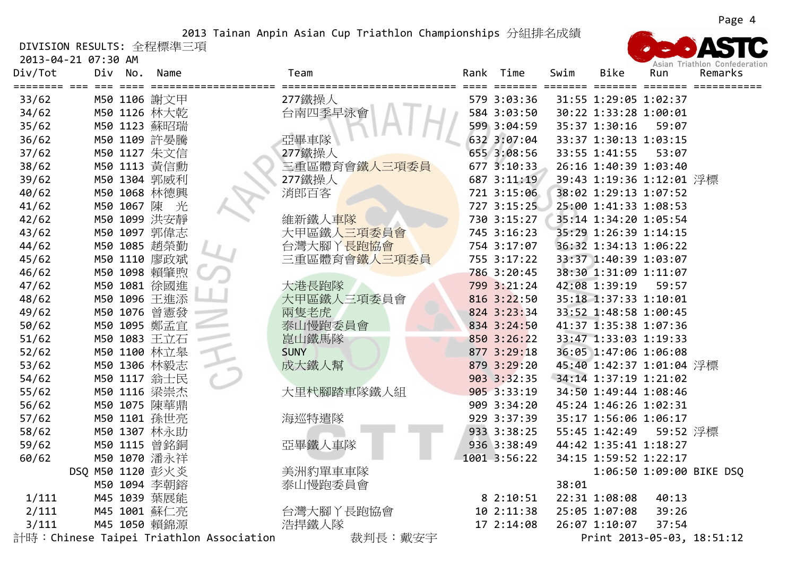DIVISION RESULTS: 全程標準三項

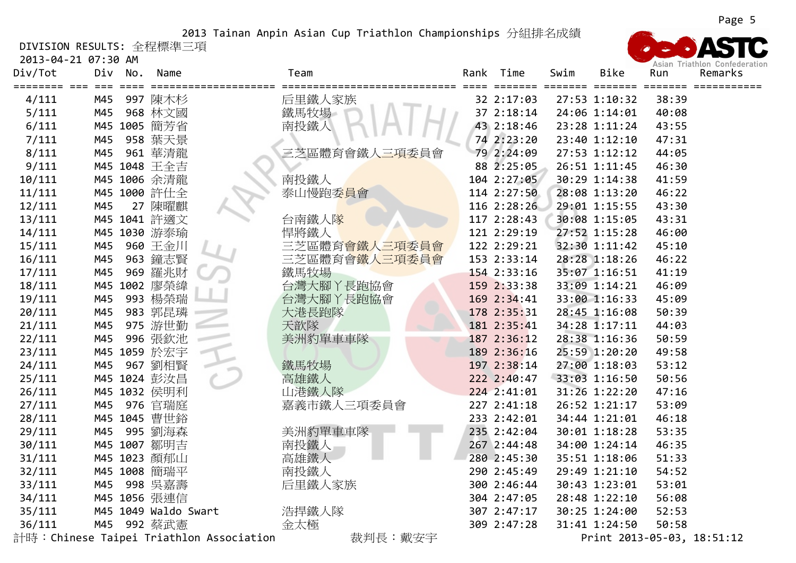DIVISION RESULTS: 全程標準三項

2013‐04‐21 07:30 AM

| Div/Tot | <b>Z013-04-ZI 07:30 AM</b><br>Div | No. | Name                 |                                          | Team          | Rank | Time        | Swim | Bike          | Run   | Asian Triathlon Confederation<br>Remarks |
|---------|-----------------------------------|-----|----------------------|------------------------------------------|---------------|------|-------------|------|---------------|-------|------------------------------------------|
| 4/111   | M45                               |     | 997 陳木杉              |                                          | 后里鐵人家族        |      | 32 2:17:03  |      | 27:53 1:10:32 | 38:39 |                                          |
| 5/111   | M45                               |     | 968 林文國              |                                          | 鐵馬牧場          |      | 37 2:18:14  |      | 24:06 1:14:01 | 40:08 |                                          |
| 6/111   | M45                               |     | 1005 簡芳省             |                                          | 南投鐵人          |      | 43 2:18:46  |      | 23:28 1:11:24 | 43:55 |                                          |
| 7/111   | M45                               |     | 958 葉天景              |                                          |               |      | 74 2:23:20  |      | 23:40 1:12:10 | 47:31 |                                          |
| 8/111   | M45                               |     | 961 華清龍              |                                          | 三芝區體育會鐵人三項委員會 |      | 79 2:24:09  |      | 27:53 1:12:12 | 44:05 |                                          |
| 9/111   |                                   |     | M45 1048 王全吉         |                                          |               |      | 88 2:25:05  |      | 26:51 1:11:45 | 46:30 |                                          |
| 10/111  |                                   |     | M45 1006 余清龍         |                                          | 南投鐵人          |      | 104 2:27:05 |      | 30:29 1:14:38 | 41:59 |                                          |
| 11/111  |                                   |     | M45 1000 許仕全         |                                          | 泰山慢跑委員會       |      | 114 2:27:50 |      | 28:08 1:13:20 | 46:22 |                                          |
| 12/111  | M45                               |     | 27 陳曜麒               |                                          |               |      | 116 2:28:26 |      | 29:01 1:15:55 | 43:30 |                                          |
| 13/111  |                                   |     | M45 1041 許適文         |                                          | 台南鐵人隊         |      | 117 2:28:43 |      | 30:08 1:15:05 | 43:31 |                                          |
| 14/111  |                                   |     | M45 1030 游泰瑜         |                                          | 悍將鐵人          |      | 121 2:29:19 |      | 27:52 1:15:28 | 46:00 |                                          |
| 15/111  | M45                               |     | 960 王金川              |                                          | 三芝區體育會鐵人三項委員會 |      | 122 2:29:21 |      | 32:30 1:11:42 | 45:10 |                                          |
| 16/111  | M45                               |     | 963 鐘志賢              |                                          | 三芝區體育會鐵人三項委員會 |      | 153 2:33:14 |      | 28:28 1:18:26 | 46:22 |                                          |
| 17/111  | M45                               | 969 | 羅兆財                  |                                          | 鐵馬牧場          |      | 154 2:33:16 |      | 35:07 1:16:51 | 41:19 |                                          |
| 18/111  | M45                               |     | 1002 廖榮緯             |                                          | 台灣大腳丫長跑協會     |      | 159 2:33:38 |      | 33:09 1:14:21 | 46:09 |                                          |
| 19/111  | M45                               |     | 993 楊榮瑞              |                                          | 台灣大腳丫長跑協會     |      | 169 2:34:41 |      | 33:00 1:16:33 | 45:09 |                                          |
| 20/111  | M45                               |     | 983 郭昆璘              |                                          | 大港長跑隊         |      | 178 2:35:31 |      | 28:45 1:16:08 | 50:39 |                                          |
| 21/111  | M45                               |     | 975 游世勤              |                                          | 天歆隊           |      | 181 2:35:41 |      | 34:28 1:17:11 | 44:03 |                                          |
| 22/111  | M45                               |     | 996 張欽池              |                                          | 美洲豹單車車隊       |      | 187 2:36:12 |      | 28:38 1:16:36 | 50:59 |                                          |
| 23/111  |                                   |     | M45 1059 於宏宇         |                                          |               |      | 189 2:36:16 |      | 25:59 1:20:20 | 49:58 |                                          |
| 24/111  | M45                               |     | 967 劉相賢              |                                          | 鐵馬牧場          |      | 197 2:38:14 |      | 27:00 1:18:03 | 53:12 |                                          |
| 25/111  |                                   |     | M45 1024 彭汝昌         |                                          | 高雄鐵人          |      | 222 2:40:47 |      | 33:03 1:16:50 | 50:56 |                                          |
| 26/111  |                                   |     | M45 1032 侯明利         |                                          | 山港鐵人隊         |      | 224 2:41:01 |      | 31:26 1:22:20 | 47:16 |                                          |
| 27/111  | M45                               |     | 976 官瑞庭              |                                          | 嘉義市鐵人三項委員會    |      | 227 2:41:18 |      | 26:52 1:21:17 | 53:09 |                                          |
| 28/111  |                                   |     | M45 1045 曹世鉻         |                                          |               |      | 233 2:42:01 |      | 34:44 1:21:01 | 46:18 |                                          |
| 29/111  | M45                               |     | 995 劉海森              |                                          | 美洲豹單車車隊       |      | 235 2:42:04 |      | 30:01 1:18:28 | 53:35 |                                          |
| 30/111  |                                   |     | M45 1007 鄒明吉         |                                          | 南投鐵人          |      | 267 2:44:48 |      | 34:00 1:24:14 | 46:35 |                                          |
| 31/111  |                                   |     | M45 1023 顏郁山         |                                          | 高雄鐵人          |      | 280 2:45:30 |      | 35:51 1:18:06 | 51:33 |                                          |
| 32/111  |                                   |     | M45 1008 簡瑞平         |                                          | 南投鐵人          |      | 290 2:45:49 |      | 29:49 1:21:10 | 54:52 |                                          |
| 33/111  | M45                               |     | 998 吳嘉壽              |                                          | 后里鐵人家族        |      | 300 2:46:44 |      | 30:43 1:23:01 | 53:01 |                                          |
| 34/111  |                                   |     | M45 1056 張連信         |                                          |               |      | 304 2:47:05 |      | 28:48 1:22:10 | 56:08 |                                          |
| 35/111  |                                   |     | M45 1049 Waldo Swart |                                          | 浩捍鐵人隊         |      | 307 2:47:17 |      | 30:25 1:24:00 | 52:53 |                                          |
| 36/111  | M45                               |     | 992 蔡武憲              |                                          | 金太極           |      | 309 2:47:28 |      | 31:41 1:24:50 | 50:58 |                                          |
|         |                                   |     |                      | 計時: Chinese Taipei Triathlon Association | 裁判長:戴安宇       |      |             |      |               |       | Print 2013-05-03, 18:51:12               |

Page 5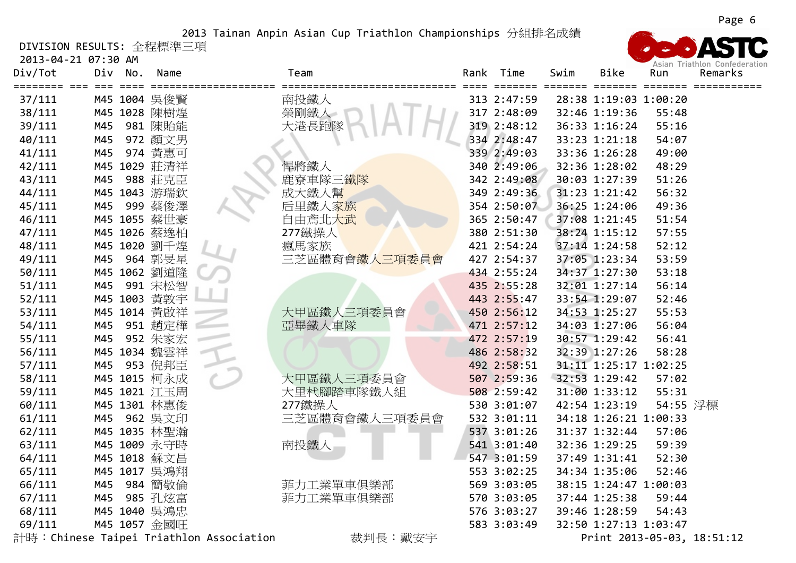DIVISION RESULTS: 全程標準三項

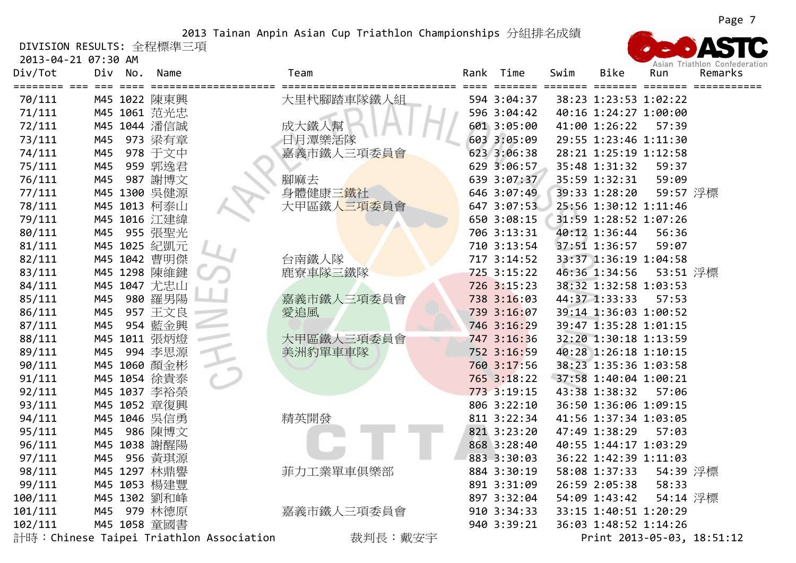DIVISION RESULTS: 全程標準三項

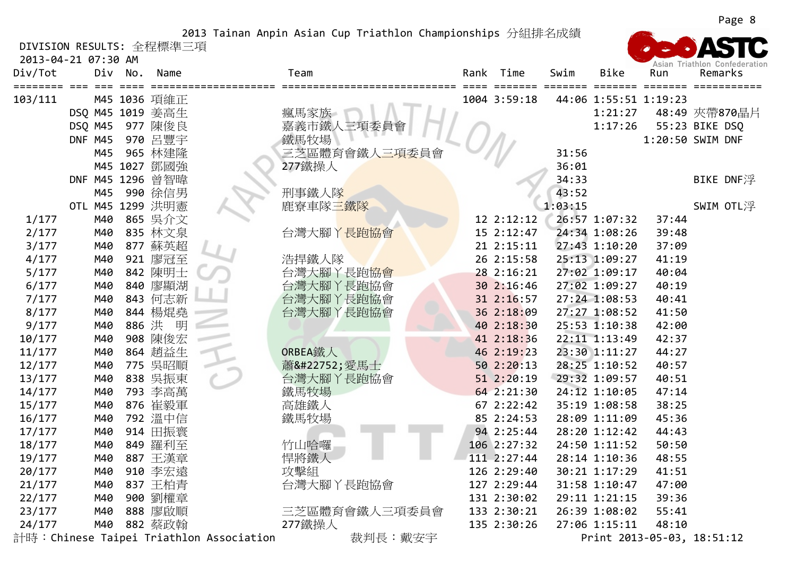DIVISION RESULTS: 全程標準三項

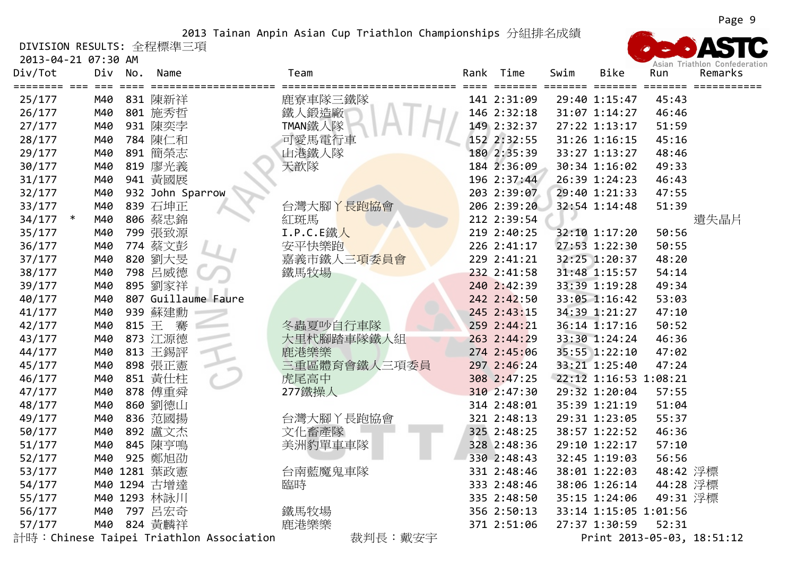DIVISION RESULTS: 全程標準三項

2013‐04‐21 07:30 AM

| Div/Tot    | Div<br>$===$ | No.       | Name                                     | Team         | Rank | Time<br>==== | Swim<br>===== | <b>Bike</b><br>$===$  | Run      | Remarks                    |
|------------|--------------|-----------|------------------------------------------|--------------|------|--------------|---------------|-----------------------|----------|----------------------------|
| 25/177     | M40          |           | 831 陳新祥                                  | 鹿寮車隊三鐵隊      |      | 141 2:31:09  |               | 29:40 1:15:47         | 45:43    |                            |
| 26/177     | M40          |           | 801 施秀哲                                  | 鐵人鍛造廠        |      | 146 2:32:18  |               | 31:07 1:14:27         | 46:46    |                            |
| 27/177     | M40          |           | 931 陳奕孛                                  | TMAN鐵人隊      |      | 149 2:32:37  |               | 27:22 1:13:17         | 51:59    |                            |
| 28/177     | M40          |           | 784 陳仁和                                  | 可愛馬電行車       |      | 152 2:32:55  |               | 31:26 1:16:15         | 45:16    |                            |
| 29/177     | M40          |           | 891 簡榮志                                  | 山港鐵人隊        |      | 180 2:35:39  |               | 33:27 1:13:27         | 48:46    |                            |
| 30/177     | M40          |           | 819 廖光義                                  | 天歆隊          |      | 184 2:36:09  |               | 30:34 1:16:02         | 49:33    |                            |
| 31/177     | M40          |           | 941 黃國展                                  |              |      | 196 2:37:44  |               | 26:39 1:24:23         | 46:43    |                            |
| 32/177     | M40          |           | 932 John Sparrow                         |              |      | 203 2:39:07  |               | 29:40 1:21:33         | 47:55    |                            |
| 33/177     | M40          |           | 839 石坤正                                  | 台灣大腳丫長跑協會    |      | 206 2:39:20  |               | 32:54 1:14:48         | 51:39    |                            |
| $34/177$ * | M40          |           | 806 蔡忠錦                                  | 紅斑馬          |      | 212 2:39:54  |               |                       |          | 遺失晶片                       |
| 35/177     | M40          |           | 799 張致源                                  | I.P.C.E鐵人    |      | 219 2:40:25  |               | 32:10 1:17:20         | 50:56    |                            |
| 36/177     | M40          |           | 774 蔡文彭                                  | 安平快樂跑        |      | 226 2:41:17  |               | 27:53 1:22:30         | 50:55    |                            |
| 37/177     | M40          |           | 820 劉大旻                                  | 嘉義市鐵人三項委員會   |      | 229 2:41:21  |               | 32:25 1:20:37         | 48:20    |                            |
| 38/177     | M40          | 798       | 呂威德                                      | 鐵馬牧場         |      | 232 2:41:58  |               | 31:48 1:15:57         | 54:14    |                            |
| 39/177     | M40          |           | 895 劉家祥                                  |              |      | 240 2:42:39  |               | 33:39 1:19:28         | 49:34    |                            |
| 40/177     | M40          |           | 807 Guillaume Faure                      |              |      | 242 2:42:50  |               | 33:05 1:16:42         | 53:03    |                            |
| 41/177     | M40          |           | 939 蘇建勳                                  |              |      | 245 2:43:15  |               | 34:39 1:21:27         | 47:10    |                            |
| 42/177     | M40          | 815 $\pm$ | 騫                                        | 冬蟲夏吵自行車隊     |      | 259 2:44:21  |               | $36:14$ 1:17:16       | 50:52    |                            |
| 43/177     | M40          |           | 873 江源德                                  | 大里杙腳踏車隊鐵人組   |      | 263 2:44:29  |               | 33:30 1:24:24         | 46:36    |                            |
| 44/177     | M40          |           | 813 王錫評                                  | 鹿港樂樂         |      | 274 2:45:06  |               | 35:55 1:22:10         | 47:02    |                            |
| 45/177     | M40          |           | 898 張正憲                                  | 三重區體育會鐵人三項委員 |      | 297 2:46:24  |               | 33:21 1:25:40         | 47:24    |                            |
| 46/177     | M40          |           | 851 黄仕柱                                  | 虎尾高中         |      | 308 2:47:25  |               | 22:12 1:16:53 1:08:21 |          |                            |
| 47/177     | M40          |           | 878 傅重舜                                  | 277鐵操人       |      | 310 2:47:30  |               | 29:32 1:20:04         | 57:55    |                            |
| 48/177     | M40          |           | 860 劉德山                                  |              |      | 314 2:48:01  |               | 35:39 1:21:19         | 51:04    |                            |
| 49/177     | M40          |           | 836 范國揚                                  | 台灣大腳丫長跑協會    |      | 321 2:48:13  |               | 29:31 1:23:05         | 55:37    |                            |
| 50/177     | M40          |           | 892 盧文杰                                  | 文化畜產隊        |      | 325 2:48:25  |               | 38:57 1:22:52         | 46:36    |                            |
| 51/177     | M40          |           | 845 陳亨鳴                                  | 美洲豹單車車隊      |      | 328 2:48:36  |               | 29:10 1:22:17         | 57:10    |                            |
| 52/177     | M40          |           | 925 鄭旭劭                                  |              |      | 330 2:48:43  |               | 32:45 1:19:03         | 56:56    |                            |
| 53/177     |              |           | M40 1281 葉政憲                             | 台南藍魔鬼車隊      |      | 331 2:48:46  |               | 38:01 1:22:03         | 48:42 浮標 |                            |
| 54/177     |              |           | M40 1294 古增達                             | 臨時           |      | 333 2:48:46  |               | 38:06 1:26:14         | 44:28 浮標 |                            |
| 55/177     |              |           | M40 1293 林詠川                             |              |      | 335 2:48:50  |               | 35:15 1:24:06         | 49:31 浮標 |                            |
| 56/177     | M40          |           | 797 呂宏奇                                  | 鐵馬牧場         |      | 356 2:50:13  |               | 33:14 1:15:05 1:01:56 |          |                            |
| 57/177     | M40          |           | 824 黃麟祥                                  | 鹿港樂樂         |      | 371 2:51:06  |               | 27:37 1:30:59         | 52:31    |                            |
|            |              |           | 計時: Chinese Taipei Triathlon Association | 裁判長:戴安宇      |      |              |               |                       |          | Print 2013-05-03, 18:51:12 |

Asian Triathlon Confederation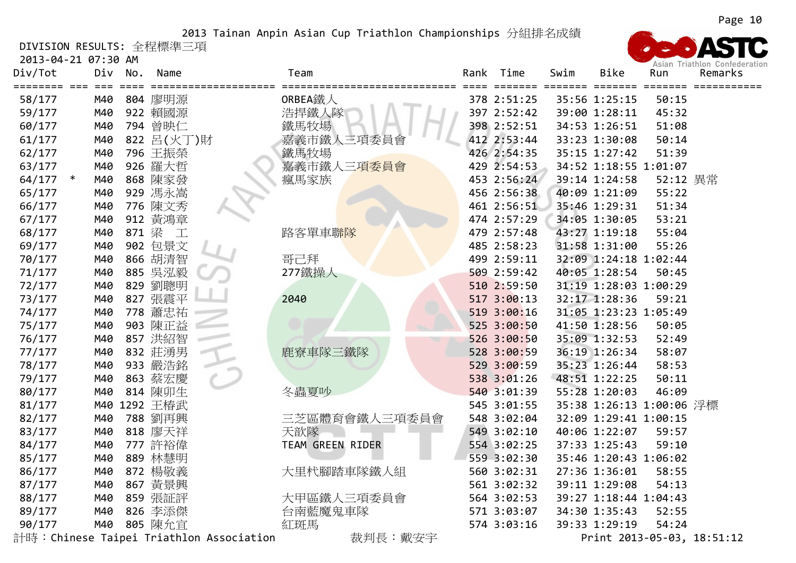DIVISION RESULTS: 全程標準三項

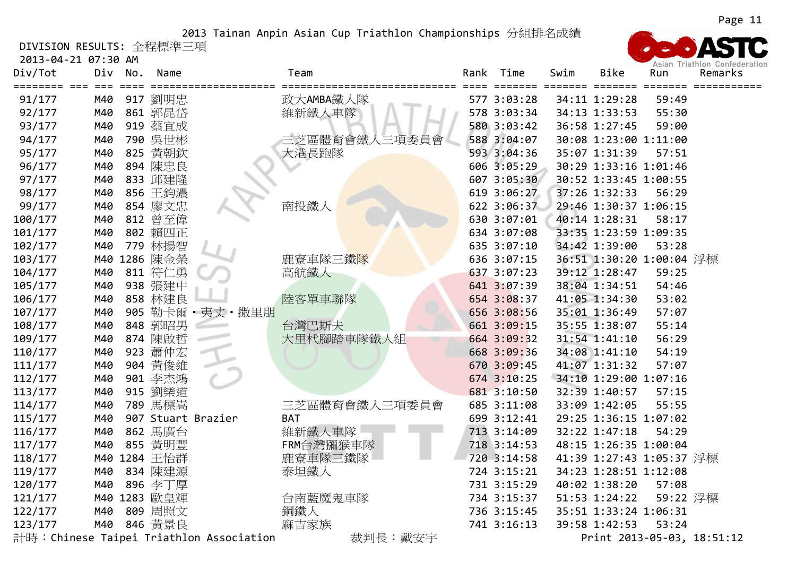DIVISION RESULTS: 全程標準三項

| 2013-04-21 07:30 AM<br>Div/Tot | Div | No.  | Name                      |                                          | Team          | Rank | Time        | Swim | <b>Bike</b>              | Run      | Asian Triathlon Confederation<br>Remarks |
|--------------------------------|-----|------|---------------------------|------------------------------------------|---------------|------|-------------|------|--------------------------|----------|------------------------------------------|
| 91/177                         | M40 | ==== | ==============<br>917 劉明忠 |                                          | 政大AMBA鐵人隊     |      | 577 3:03:28 |      | 34:11 1:29:28            | 59:49    |                                          |
| 92/177                         | M40 |      | 861 郭昆岱                   |                                          | 維新鐵人車隊        |      | 578 3:03:34 |      | 34:13 1:33:53            | 55:30    |                                          |
| 93/177                         | M40 |      | 919 蔡宜成                   |                                          |               |      | 580 3:03:42 |      | 36:58 1:27:45            | 59:00    |                                          |
| 94/177                         | M40 |      | 790 吳世彬                   |                                          | 三芝區體育會鐵人三項委員會 |      | 588 3:04:07 |      | 30:08 1:23:00 1:11:00    |          |                                          |
| 95/177                         | M40 |      | 825 黃朝欽                   |                                          | 大港長跑隊         |      | 593 3:04:36 |      | 35:07 1:31:39            | 57:51    |                                          |
| 96/177                         | M40 |      | 894 陳忠良                   |                                          |               |      | 606 3:05:29 |      | 30:29 1:33:16 1:01:46    |          |                                          |
| 97/177                         | M40 |      | 833 邱建隆                   |                                          |               |      | 607 3:05:30 |      | 30:52 1:33:45 1:00:55    |          |                                          |
| 98/177                         | M40 |      | 856 王鈞濃                   |                                          |               |      | 619 3:06:27 |      | 37:26 1:32:33            | 56:29    |                                          |
| 99/177                         | M40 |      | 854 廖文忠                   |                                          | 南投鐵人          |      | 622 3:06:37 |      | 29:46 1:30:37 1:06:15    |          |                                          |
| 100/177                        | M40 |      | 812 曾至偉                   |                                          |               |      | 630 3:07:01 |      | 40:14 1:28:31            | 58:17    |                                          |
| 101/177                        | M40 |      | 802 賴四正                   |                                          |               |      | 634 3:07:08 |      | 33:35 1:23:59 1:09:35    |          |                                          |
| 102/177                        | M40 |      | 779 林揚智                   |                                          |               |      | 635 3:07:10 |      | 34:42 1:39:00            | 53:28    |                                          |
| 103/177                        | M40 |      | 1286 陳金榮                  |                                          | 鹿寮車隊三鐵隊       |      | 636 3:07:15 |      | 36:51 1:30:20 1:00:04 浮標 |          |                                          |
| 104/177                        | M40 |      | 811 符仁勇                   |                                          | 高航鐵人          |      | 637 3:07:23 |      | 39:12 1:28:47            | 59:25    |                                          |
| 105/177                        | M40 |      | 938 張建中                   |                                          |               |      | 641 3:07:39 |      | 38:04 1:34:51            | 54:46    |                                          |
| 106/177                        | M40 |      | 858 林建良                   |                                          | 陸客單車聯隊        |      | 654 3:08:37 |      | 41:05 1:34:30            | 53:02    |                                          |
| 107/177                        | M40 |      |                           | 905 勒卡爾·夷丈·撒里朋                           |               |      | 656 3:08:56 |      | 35:01 1:36:49            | 57:07    |                                          |
| 108/177                        | M40 |      | 848 郭昭男                   |                                          | 台灣巴斯夫         |      | 661 3:09:15 |      | 35:55 1:38:07            | 55:14    |                                          |
| 109/177                        | M40 |      | 874 陳啟哲                   |                                          | 大里杙腳踏車隊鐵人組    |      | 664 3:09:32 |      | 31:54 1:41:10            | 56:29    |                                          |
| 110/177                        | M40 |      | 923 蕭仲宏                   |                                          |               |      | 668 3:09:36 |      | 34:08 1:41:10            | 54:19    |                                          |
| 111/177                        | M40 |      | 904 黃俊維                   |                                          |               |      | 670 3:09:45 |      | 41:07 1:31:32            | 57:07    |                                          |
| 112/177                        | M40 |      | 901 李杰鴻                   |                                          |               |      | 674 3:10:25 |      | 34:10 1:29:00 1:07:16    |          |                                          |
| 113/177                        | M40 |      | 915 劉樂道                   |                                          |               |      | 681 3:10:50 |      | 32:39 1:40:57            | 57:15    |                                          |
| 114/177                        | M40 |      | 789 馬標嵩                   |                                          | 三芝區體育會鐵人三項委員會 |      | 685 3:11:08 |      | 33:09 1:42:05            | 55:55    |                                          |
| 115/177                        | M40 |      | 907 Stuart Brazier        |                                          | <b>BAT</b>    |      | 699 3:12:41 |      | 29:25 1:36:15 1:07:02    |          |                                          |
| 116/177                        | M40 |      | 862 馬廣台                   |                                          | 維新鐵人車隊        |      | 713 3:14:09 |      | 32:22 1:47:18            | 54:29    |                                          |
| 117/177                        | M40 |      | 855 黃明豐                   |                                          | FRM台灣獼猴車隊     |      | 718 3:14:53 |      | 48:15 1:26:35 1:00:04    |          |                                          |
| 118/177                        |     |      | M40 1284 王怡群              |                                          | 鹿寮車隊三鐵隊       |      | 720 3:14:58 |      | 41:39 1:27:43 1:05:37 浮標 |          |                                          |
| 119/177                        | M40 |      | 834 陳建源                   |                                          | 泰坦鐵人          |      | 724 3:15:21 |      | 34:23 1:28:51 1:12:08    |          |                                          |
| 120/177                        | M40 |      | 896 李丁厚                   |                                          |               |      | 731 3:15:29 |      | 40:02 1:38:20            | 57:08    |                                          |
| 121/177                        |     |      | M40 1283 歐皇輝              |                                          | 台南藍魔鬼車隊       |      | 734 3:15:37 |      | 51:53 1:24:22            | 59:22 浮標 |                                          |
| 122/177                        | M40 |      | 809 周照文                   |                                          | 鋼鐵人           |      | 736 3:15:45 |      | 35:51 1:33:24 1:06:31    |          |                                          |
| 123/177                        | M40 |      | 846 黄景良                   |                                          | 麻吉家族          |      | 741 3:16:13 |      | 39:58 1:42:53            | 53:24    |                                          |
|                                |     |      |                           | 計時: Chinese Taipei Triathlon Association | 裁判長:戴安宇       |      |             |      |                          |          | Print 2013-05-03, 18:51:12               |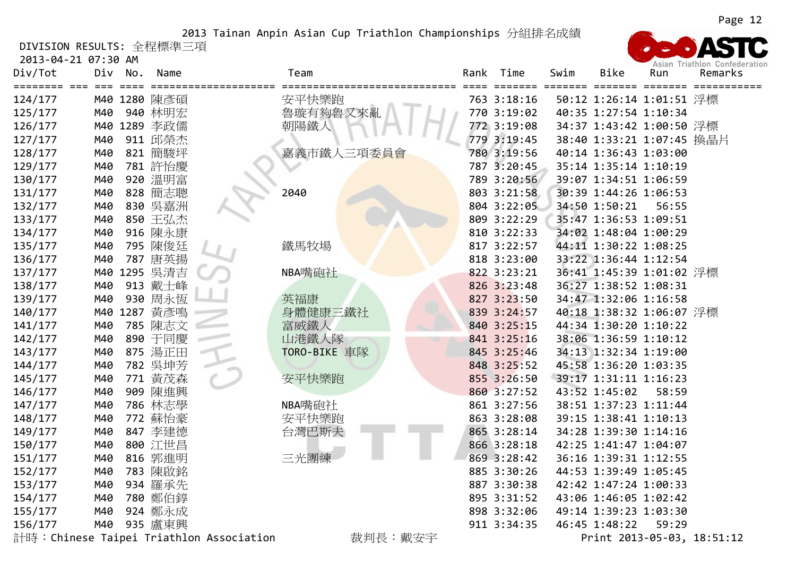DIVISION RESULTS: 全程標準三項

2013‐04‐21 07:30 AM

| Div/Tot | Div   | No. | Name         | Team                                     |       | Rank Time   | Swim | Bike                      | Run   | ASIGN NIGHTON CONCOCION<br>Remarks |
|---------|-------|-----|--------------|------------------------------------------|-------|-------------|------|---------------------------|-------|------------------------------------|
|         | $===$ |     |              | ====================<br>================ | ===== |             |      |                           |       |                                    |
| 124/177 |       |     | M40 1280 陳彥碩 | 安平快樂跑                                    |       | 763 3:18:16 |      | 50:12 1:26:14 1:01:51 浮標  |       |                                    |
| 125/177 | M40   |     | 940 林明宏      | 魯璇有夠魯又來亂                                 |       | 770 3:19:02 |      | 40:35 1:27:54 1:10:34     |       |                                    |
| 126/177 |       |     | M40 1289 李政儒 | 朝陽鐵人                                     |       | 772 3:19:08 |      | 34:37 1:43:42 1:00:50 浮標  |       |                                    |
| 127/177 | M40   |     | 911 邱榮杰      |                                          |       | 779 3:19:45 |      | 38:40 1:33:21 1:07:45 換晶片 |       |                                    |
| 128/177 | M40   |     | 821 簡駿坪      | 嘉義市鐵人三項委員會                               |       | 780 3:19:56 |      | 40:14 1:36:43 1:03:00     |       |                                    |
| 129/177 | M40   |     | 781 許怡慶      |                                          |       | 787 3:20:45 |      | 35:14 1:35:14 1:10:19     |       |                                    |
| 130/177 | M40   |     | 920 溫明富      |                                          |       | 789 3:20:56 |      | 39:07 1:34:51 1:06:59     |       |                                    |
| 131/177 | M40   |     | 828 簡志聰      | 2040                                     |       | 803 3:21:58 |      | 30:39 1:44:26 1:06:53     |       |                                    |
| 132/177 | M40   |     | 830 吳嘉洲      |                                          |       | 804 3:22:05 |      | 34:50 1:50:21             | 56:55 |                                    |
| 133/177 | M40   |     | 850 王弘杰      |                                          |       | 809 3:22:29 |      | 35:47 1:36:53 1:09:51     |       |                                    |
| 134/177 | M40   |     | 916 陳永康      |                                          |       | 810 3:22:33 |      | 34:02 1:48:04 1:00:29     |       |                                    |
| 135/177 | M40   |     | 795 陳俊廷      | 鐵馬牧場                                     |       | 817 3:22:57 |      | 44:11 1:30:22 1:08:25     |       |                                    |
| 136/177 | M40   |     | 787 唐英揚      |                                          |       | 818 3:23:00 |      | 33:22 1:36:44 1:12:54     |       |                                    |
| 137/177 |       |     | M40 1295 吳清吉 | NBA嘴砲社                                   |       | 822 3:23:21 |      | 36:41 1:45:39 1:01:02 浮標  |       |                                    |
| 138/177 | M40   |     | 913 戴士峰      |                                          |       | 826 3:23:48 |      | 36:27 1:38:52 1:08:31     |       |                                    |
| 139/177 | M40   |     | 930 周永恆      | 英福康                                      |       | 827 3:23:50 |      | 34:47 1:32:06 1:16:58     |       |                                    |
| 140/177 |       |     | M40 1287 黃彥鳴 | 身體健康三鐵社                                  |       | 839 3:24:57 |      | 40:18 1:38:32 1:06:07 浮標  |       |                                    |
| 141/177 | M40   |     | 785 陳志文      | 富威鐵人                                     |       | 840 3:25:15 |      | 44:34 1:30:20 1:10:22     |       |                                    |
| 142/177 | M40   |     | 890 于同慶      | 山港鐵人隊                                    |       | 841 3:25:16 |      | 38:06 1:36:59 1:10:12     |       |                                    |
| 143/177 | M40   |     | 875 湯正田      | TORO-BIKE 車隊                             |       | 845 3:25:46 |      | 34:13 1:32:34 1:19:00     |       |                                    |
| 144/177 | M40   |     | 782 吳坤芳      |                                          |       | 848 3:25:52 |      | 45:58 1:36:20 1:03:35     |       |                                    |
| 145/177 | M40   |     | 771 黄茂森      | 安平快樂跑                                    |       | 855 3:26:50 |      | 39:17 1:31:11 1:16:23     |       |                                    |
| 146/177 | M40   |     | 909 陳進興      |                                          |       | 860 3:27:52 |      | 43:52 1:45:02             | 58:59 |                                    |
| 147/177 | M40   |     | 786 林志學      | NBA嘴砲社                                   |       | 861 3:27:56 |      | 38:51 1:37:23 1:11:44     |       |                                    |
| 148/177 | M40   |     | 772 蘇怡豪      | 安平快樂跑                                    |       | 863 3:28:08 |      | 39:15 1:38:41 1:10:13     |       |                                    |
| 149/177 | M40   |     | 847 李建德      | 台灣巴斯夫                                    |       | 865 3:28:14 |      | 34:28 1:39:30 1:14:16     |       |                                    |
| 150/177 | M40   |     | 800 江世昌      |                                          |       | 866 3:28:18 |      | 42:25 1:41:47 1:04:07     |       |                                    |
| 151/177 | M40   |     | 816 郭進明      | 三光團練                                     |       | 869 3:28:42 |      | 36:16 1:39:31 1:12:55     |       |                                    |
| 152/177 | M40   |     | 783 陳啟銘      |                                          |       | 885 3:30:26 |      | 44:53 1:39:49 1:05:45     |       |                                    |
| 153/177 | M40   |     | 934 羅承先      |                                          |       | 887 3:30:38 |      | 42:42 1:47:24 1:00:33     |       |                                    |
| 154/177 | M40   |     | 780 鄭伯錞      |                                          |       | 895 3:31:52 |      | 43:06 1:46:05 1:02:42     |       |                                    |
| 155/177 | M40   |     | 924 鄭永成      |                                          |       | 898 3:32:06 |      | 49:14 1:39:23 1:03:30     |       |                                    |
| 156/177 | M40   |     | 935 盧東興      |                                          |       | 911 3:34:35 |      | 46:45 1:48:22             | 59:29 |                                    |

計時:Chinese Taipei Triathlon Association 裁判長:戴安宇 Print 2013-05-03, 18:51:12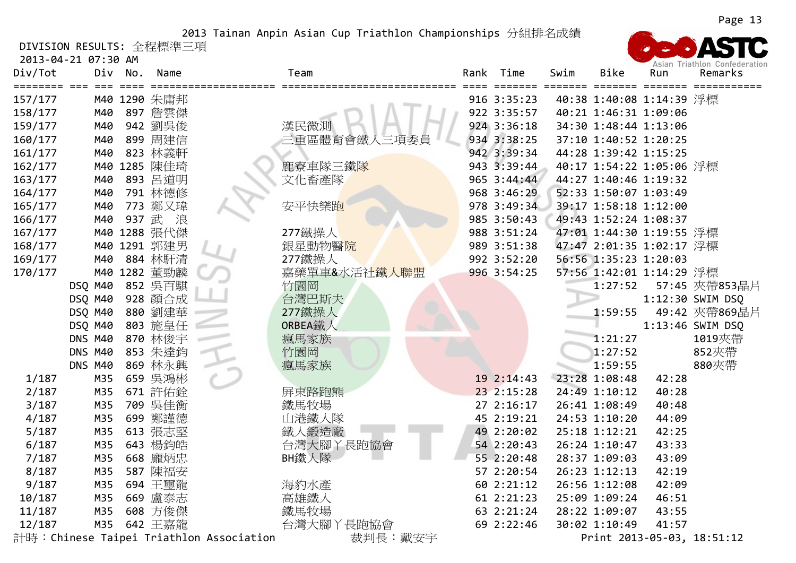DIVISION RESULTS: 全程標準三項

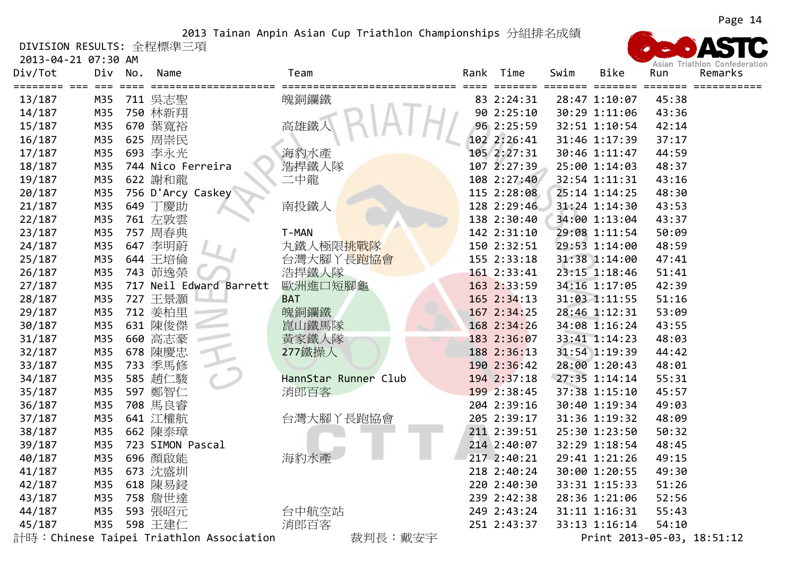DIVISION RESULTS: 全程標準三項

2013‐04‐21 07:30 AM

| Div/Tot | Div        | No. | Name                                     | Team                 | Rank | Time        | Swim | <b>Bike</b>                | Run   | Remarks |
|---------|------------|-----|------------------------------------------|----------------------|------|-------------|------|----------------------------|-------|---------|
| 13/187  | ===<br>M35 |     | 711 吳志聖                                  | 魄銅鑭鐵                 |      | 83 2:24:31  |      | 28:47 1:10:07              | 45:38 |         |
| 14/187  | M35        |     | 750 林新翔                                  |                      |      | 90 2:25:10  |      | 30:29 1:11:06              | 43:36 |         |
| 15/187  | M35        |     | 670 葉寬裕                                  | 高雄鐵丿                 |      | 96 2:25:59  |      | 32:51 1:10:54              | 42:14 |         |
| 16/187  | M35        |     | 625 周崇民                                  |                      |      | 102 2:26:41 |      | 31:46 1:17:39              | 37:17 |         |
| 17/187  | M35        |     | 693 李永光                                  | 海豹水產                 |      | 105 2:27:31 |      | 30:46 1:11:47              | 44:59 |         |
| 18/187  | M35        |     | 744 Nico Ferreira                        | 浩捍鐵人隊                |      | 107 2:27:39 |      | 25:00 1:14:03              | 48:37 |         |
| 19/187  | M35        |     | 622 謝和龍                                  | 二中龍                  |      | 108 2:27:40 |      | 32:54 1:11:31              | 43:16 |         |
| 20/187  | M35        |     | 756 D'Arcy Caskey                        |                      |      | 115 2:28:08 |      | 25:14 1:14:25              | 48:30 |         |
| 21/187  | M35        |     | 649 丁慶助                                  | 南投鐵人                 |      | 128 2:29:46 |      | 31:24 1:14:30              | 43:53 |         |
| 22/187  | M35        |     | 761 左敦雲                                  |                      |      | 138 2:30:40 |      | 34:00 1:13:04              | 43:37 |         |
| 23/187  | M35        |     | 757 周春典                                  | T-MAN                |      | 142 2:31:10 |      | 29:08 1:11:54              | 50:09 |         |
| 24/187  | M35        |     | 647 李明蔚                                  | 丸鐵人極限挑戰隊             |      | 150 2:32:51 |      | 29:53 1:14:00              | 48:59 |         |
| 25/187  | M35        |     | 644 王培倫                                  | 台灣大腳丫長跑協會            |      | 155 2:33:18 |      | 31:38 1:14:00              | 47:41 |         |
| 26/187  | M35        |     | 743 茆逸榮                                  | 浩捍鐵人隊                |      | 161 2:33:41 |      | 23:15 1:18:46              | 51:41 |         |
| 27/187  | M35        |     | 717 Neil Edward Barrett                  | 歐洲進口短腳龜              |      | 163 2:33:59 |      | 34:16 1:17:05              | 42:39 |         |
| 28/187  | M35        |     | 727 王景灝                                  | <b>BAT</b>           |      | 165 2:34:13 |      | 31:03 1:11:55              | 51:16 |         |
| 29/187  | M35        |     | 712 姜柏里                                  | 魄銅鑭鐵                 |      | 167 2:34:25 |      | 28:46 1:12:31              | 53:09 |         |
| 30/187  | M35        |     | 631 陳俊傑                                  | 崑山鐵馬隊                |      | 168 2:34:26 |      | 34:08 1:16:24              | 43:55 |         |
| 31/187  | M35        |     | 660 高志豪                                  | 黃家鐵人隊                |      | 183 2:36:07 |      | 33:41 1:14:23              | 48:03 |         |
| 32/187  | M35        |     | 678 陳慶忠                                  | 277鐵操人               |      | 188 2:36:13 |      | 31:54 1:19:39              | 44:42 |         |
| 33/187  | M35        |     | 733 季馬修                                  |                      |      | 190 2:36:42 |      | 28:00 1:20:43              | 48:01 |         |
| 34/187  | M35        |     | 585 趙仁駿                                  | HannStar Runner Club |      | 194 2:37:18 |      | 27:35 1:14:14              | 55:31 |         |
| 35/187  | M35        |     | 597 鄭智仁                                  | 消郎百客                 |      | 199 2:38:45 |      | 37:38 1:15:10              | 45:57 |         |
| 36/187  | M35        |     | 708 馬良睿                                  |                      |      | 204 2:39:16 |      | 30:40 1:19:34              | 49:03 |         |
| 37/187  | M35        |     | 641 江權航                                  | 台灣大腳丫長跑協會            |      | 205 2:39:17 |      | 31:36 1:19:32              | 48:09 |         |
| 38/187  | M35        |     | 662 陳泰璋                                  |                      |      | 211 2:39:51 |      | 25:30 1:23:50              | 50:32 |         |
| 39/187  | M35        |     | 723 SIMON Pascal                         |                      |      | 214 2:40:07 |      | 32:29 1:18:54              | 48:45 |         |
| 40/187  | M35        |     | 696 顏啟能                                  | 海豹水產                 |      | 217 2:40:21 |      | 29:41 1:21:26              | 49:15 |         |
| 41/187  | M35        |     | 673 沈盛圳                                  |                      |      | 218 2:40:24 |      | 30:00 1:20:55              | 49:30 |         |
| 42/187  | M35        |     | 618 陳易鋟                                  |                      |      | 220 2:40:30 |      | 33:31 1:15:33              | 51:26 |         |
| 43/187  | M35        |     | 758 詹世達                                  |                      |      | 239 2:42:38 |      | 28:36 1:21:06              | 52:56 |         |
| 44/187  | M35        |     | 593 張昭元                                  | 台中航空站                |      | 249 2:43:24 |      | 31:11 1:16:31              | 55:43 |         |
| 45/187  | M35        |     | 598 王建仁                                  | 消郎百客                 |      | 251 2:43:37 |      | 33:13 1:16:14              | 54:10 |         |
|         |            |     | 計時: Chinese Taipei Triathlon Association | 裁判長:戴安宇              |      |             |      | Print 2013-05-03, 18:51:12 |       |         |

Asian Triathlon Confederation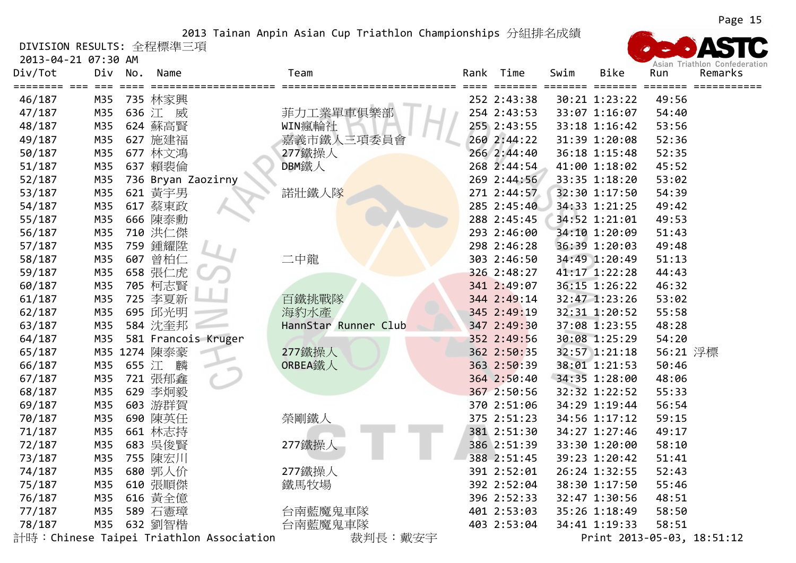DIVISION RESULTS: 全程標準三項

2013‐04‐21 07:30 AM

| Div/Tot           | Div | No.   | Name                       | Team                 |      | Rank   | Time        | Swim | <b>Bike</b>   | Run      | ASIGH HIGURUM CUMEUCIQUU<br>Remarks |
|-------------------|-----|-------|----------------------------|----------------------|------|--------|-------------|------|---------------|----------|-------------------------------------|
| 46/187            | M35 |       | ===============<br>735 林家興 | =============        | ---- | $====$ | 252 2:43:38 |      | 30:21 1:23:22 | 49:56    |                                     |
| 47/187            | M35 |       | 636 江 威                    | 菲力工業單車俱樂部            |      |        | 254 2:43:53 |      | 33:07 1:16:07 | 54:40    |                                     |
| 48/187            | M35 |       | 624 蘇高賢                    | WIN瘋輪社               |      |        | 255 2:43:55 |      | 33:18 1:16:42 | 53:56    |                                     |
| 49/187            | M35 |       | 627 施建福                    | 嘉義市鐵人三項委員會           |      |        | 260 2:44:22 |      | 31:39 1:20:08 | 52:36    |                                     |
| 50/187            | M35 |       | 677 林文鴻                    | 277鐵操人               |      |        | 266 2:44:40 |      | 36:18 1:15:48 | 52:35    |                                     |
| 51/187            | M35 |       | 637 賴裴倫                    | DBM鐵人                |      |        | 268 2:44:54 |      | 41:00 1:18:02 | 45:52    |                                     |
| 52/187            | M35 |       | 736 Bryan Zaozirny         |                      |      |        | 269 2:44:56 |      | 33:35 1:18:20 | 53:02    |                                     |
| 53/187            | M35 |       | 621 黃宇男                    | 諾壯鐵人隊                |      |        | 271 2:44:57 |      | 32:30 1:17:50 | 54:39    |                                     |
| 54/187            | M35 |       | 617 蔡東政                    |                      |      |        | 285 2:45:40 |      | 34:33 1:21:25 | 49:42    |                                     |
| 55/187            | M35 |       | 666 陳泰勳                    |                      |      |        | 288 2:45:45 |      | 34:52 1:21:01 | 49:53    |                                     |
| 56/187            | M35 |       | 710 洪仁傑                    |                      |      |        | 293 2:46:00 |      | 34:10 1:20:09 | 51:43    |                                     |
| 57/187            | M35 |       | 759 鍾耀陞                    |                      |      |        | 298 2:46:28 |      | 36:39 1:20:03 | 49:48    |                                     |
| 58/187            | M35 |       | 607 曾柏仁                    | 二中龍                  |      |        | 303 2:46:50 |      | 34:49 1:20:49 | 51:13    |                                     |
| 59/187            | M35 |       | 658 張仁虎                    |                      |      |        | 326 2:48:27 |      | 41:17 1:22:28 | 44:43    |                                     |
| 60/187            | M35 |       | 705 柯志賢                    |                      |      |        | 341 2:49:07 |      | 36:15 1:26:22 | 46:32    |                                     |
| 61/187            | M35 |       | 725 李夏新                    | 百鐵挑戰隊                |      |        | 344 2:49:14 |      | 32:47 1:23:26 | 53:02    |                                     |
| 62/187            | M35 |       | 695 邱光明                    | 海豹水產                 |      |        | 345 2:49:19 |      | 32:31 1:20:52 | 55:58    |                                     |
| 63/187            | M35 |       | 584 沈奎邦                    | HannStar Runner Club |      |        | 347 2:49:30 |      | 37:08 1:23:55 | 48:28    |                                     |
| 64/187            | M35 |       | 581 Francois Kruger        |                      |      |        | 352 2:49:56 |      | 30:08 1:25:29 | 54:20    |                                     |
| 65/187            |     |       | M35 1274 陳泰豪               | 277鐵操人               |      |        | 362 2:50:35 |      | 32:57 1:21:18 | 56:21 浮標 |                                     |
| 66/187            | M35 | 655 江 | 麟                          | ORBEA鐵人              |      |        | 363 2:50:39 |      | 38:01 1:21:53 | 50:46    |                                     |
| 67/187            | M35 |       | 721 張郁鑫                    |                      |      |        | 364 2:50:40 |      | 34:35 1:28:00 | 48:06    |                                     |
| 68/187            | M35 |       | 629 李炯毅                    |                      |      |        | 367 2:50:56 |      | 32:32 1:22:52 | 55:33    |                                     |
| 69/187            | M35 |       | 603 游群賀                    |                      |      |        | 370 2:51:06 |      | 34:29 1:19:44 | 56:54    |                                     |
| 70/187            | M35 |       | 690 陳英任                    | 榮剛鐵人                 |      |        | 375 2:51:23 |      | 34:56 1:17:12 | 59:15    |                                     |
| 71/187            | M35 |       | 661 林志持                    |                      |      |        | 381 2:51:30 |      | 34:27 1:27:46 | 49:17    |                                     |
| 72/187            | M35 |       | 683 吳俊賢                    | 277鐵操人               |      |        | 386 2:51:39 |      | 33:30 1:20:00 | 58:10    |                                     |
| 73/187            | M35 |       | 755 陳宏川                    |                      |      |        | 388 2:51:45 |      | 39:23 1:20:42 | 51:41    |                                     |
| 74/187            | M35 |       | 680 郭人价                    | 277鐵操人               |      |        | 391 2:52:01 |      | 26:24 1:32:55 | 52:43    |                                     |
| 75/187            | M35 |       | 610 張順傑                    | 鐵馬牧場                 |      |        | 392 2:52:04 |      | 38:30 1:17:50 | 55:46    |                                     |
| 76/187            | M35 |       | 616 黃全億                    |                      |      |        | 396 2:52:33 |      | 32:47 1:30:56 | 48:51    |                                     |
| 77/187            | M35 |       | 589 石憲璋                    | 台南藍魔鬼車隊              |      |        | 401 2:53:03 |      | 35:26 1:18:49 | 58:50    |                                     |
| 78/187<br>ᆚᅧᆏᆠᆞᅠᅬ | M35 |       | 632 劉智楷                    | 台南藍魔鬼車隊              |      |        | 403 2:53:04 |      | 34:41 1:19:33 | 58:51    |                                     |

計時:Chinese Taipei Triathlon Association 裁判長:戴安宇 Print 2013-05-03, 18:51:12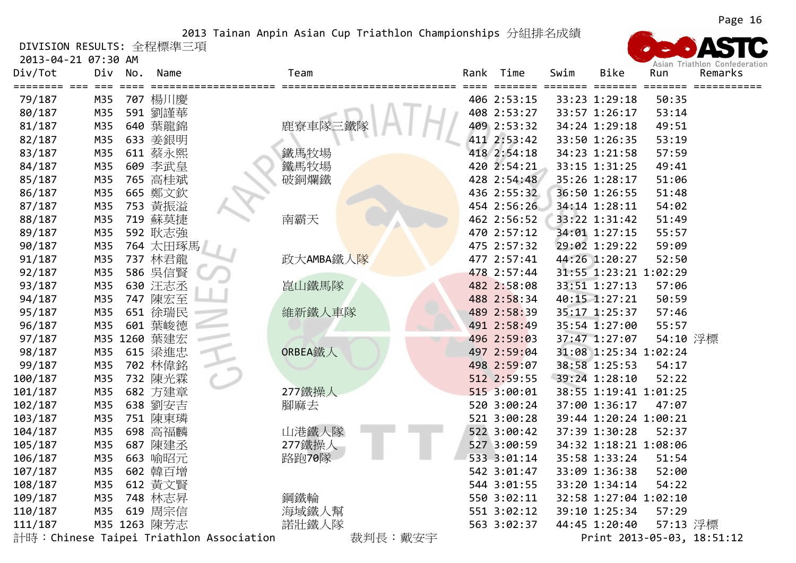DIVISION RESULTS: 全程標準三項

| Div/Tot | Div          | No. | Name         |                                         | Team           |         | Rank   | Time        | Swim | Bike                  | Run      | ASIAII THAURUI VUINCUCIAU<br>Remarks |
|---------|--------------|-----|--------------|-----------------------------------------|----------------|---------|--------|-------------|------|-----------------------|----------|--------------------------------------|
| 79/187  | $===$<br>M35 |     | 707 楊川慶      |                                         | ============== | =====   | $====$ | 406 2:53:15 |      | 33:23 1:29:18         | 50:35    |                                      |
| 80/187  | M35          |     | 591 劉謹華      |                                         |                |         |        | 408 2:53:27 |      | 33:57 1:26:17         | 53:14    |                                      |
| 81/187  | M35          |     | 640 葉龍錦      |                                         | 鹿寮車隊三鐵         |         |        | 409 2:53:32 |      | 34:24 1:29:18         | 49:51    |                                      |
| 82/187  | M35          |     | 633 姜銀明      |                                         |                |         |        | 411 2:53:42 |      | 33:50 1:26:35         | 53:19    |                                      |
| 83/187  | M35          |     | 611 蔡永熙      |                                         | 鐵馬牧場           |         |        | 418 2:54:18 |      | 34:23 1:21:58         | 57:59    |                                      |
| 84/187  | M35          |     | 609 李武皇      |                                         | 鐵馬牧場           |         |        | 420 2:54:21 |      | 33:15 1:31:25         | 49:41    |                                      |
| 85/187  | M35          |     | 765 高桂斌      |                                         | 破銅爛鐵           |         |        | 428 2:54:48 |      | 35:26 1:28:17         | 51:06    |                                      |
| 86/187  | M35          |     | 665 鄭文欽      |                                         |                |         |        | 436 2:55:32 |      | 36:50 1:26:55         | 51:48    |                                      |
| 87/187  | M35          |     | 753 黃振溢      |                                         |                |         |        | 454 2:56:26 |      | 34:14 1:28:11         | 54:02    |                                      |
| 88/187  | M35          |     | 719 蘇莫捷      |                                         | 南霸天            |         |        | 462 2:56:52 |      | 33:22 1:31:42         | 51:49    |                                      |
| 89/187  | M35          |     | 592 耿志強      |                                         |                |         |        | 470 2:57:12 |      | 34:01 1:27:15         | 55:57    |                                      |
| 90/187  | M35          |     | 764 太田琢馬     |                                         |                |         |        | 475 2:57:32 |      | 29:02 1:29:22         | 59:09    |                                      |
| 91/187  | M35          |     | 737 林君龍      |                                         | 政大AMBA鐵人隊      |         |        | 477 2:57:41 |      | 44:26 1:20:27         | 52:50    |                                      |
| 92/187  | M35          |     | 586 吳信賢      |                                         |                |         |        | 478 2:57:44 |      | 31:55 1:23:21 1:02:29 |          |                                      |
| 93/187  | M35          |     | 630 汪志丞      |                                         | 崑山鐵馬隊          |         |        | 482 2:58:08 |      | 33:51 1:27:13         | 57:06    |                                      |
| 94/187  | M35          |     | 747 陳宏至      |                                         |                |         |        | 488 2:58:34 |      | 40:15 1:27:21         | 50:59    |                                      |
| 95/187  | M35          |     | 651 徐瑞民      |                                         | 維新鐵人車隊         |         |        | 489 2:58:39 |      | 35:17 1:25:37         | 57:46    |                                      |
| 96/187  | M35          | 601 | 葉峻德          |                                         |                |         |        | 491 2:58:49 |      | 35:54 1:27:00         | 55:57    |                                      |
| 97/187  |              |     | M35 1260 葉建宏 |                                         |                |         |        | 496 2:59:03 |      | 37:47 1:27:07         | 54:10 浮標 |                                      |
| 98/187  | M35          |     | 615 梁進忠      |                                         | ORBEA鐵人        |         |        | 497 2:59:04 |      | 31:08 1:25:34 1:02:24 |          |                                      |
| 99/187  | M35          |     | 702 林偉銘      |                                         |                |         |        | 498 2:59:07 |      | 38:58 1:25:53         | 54:17    |                                      |
| 100/187 | M35          |     | 732 陳光霖      |                                         |                |         |        | 512 2:59:55 |      | 39:24 1:28:10         | 52:22    |                                      |
| 101/187 | M35          |     | 682 方建章      |                                         | 277鐵操人         |         |        | 515 3:00:01 |      | 38:55 1:19:41 1:01:25 |          |                                      |
| 102/187 | M35          |     | 638 劉安吉      |                                         | 腳麻去            |         |        | 520 3:00:24 |      | 37:00 1:36:17         | 47:07    |                                      |
| 103/187 | M35          |     | 751 陳東璘      |                                         |                |         |        | 521 3:00:28 |      | 39:44 1:20:24 1:00:21 |          |                                      |
| 104/187 | M35          |     | 698 高福麟      |                                         | 山港鐵人隊          |         |        | 522 3:00:42 |      | 37:39 1:30:28         | 52:37    |                                      |
| 105/187 | M35          |     | 687 陳建丞      |                                         | 277鐵操人         |         |        | 527 3:00:59 |      | 34:32 1:18:21 1:08:06 |          |                                      |
| 106/187 | M35          |     | 663 喻昭元      |                                         | 路跑70隊          |         |        | 533 3:01:14 |      | 35:58 1:33:24         | 51:54    |                                      |
| 107/187 | M35          |     | 602 韓百增      |                                         |                |         |        | 542 3:01:47 |      | 33:09 1:36:38         | 52:00    |                                      |
| 108/187 | M35          |     | 612 黄文賢      |                                         |                |         |        | 544 3:01:55 |      | 33:20 1:34:14         | 54:22    |                                      |
| 109/187 | M35          |     | 748 林志昇      |                                         | 鋼鐵輪            |         |        | 550 3:02:11 |      | 32:58 1:27:04 1:02:10 |          |                                      |
| 110/187 | M35          |     | 619 周宗信      |                                         | 海域鐵人幫          |         |        | 551 3:02:12 |      | 39:10 1:25:34         | 57:29    |                                      |
| 111/187 |              |     | M35 1263 陳芳志 |                                         | 諾壯鐵人隊          |         |        | 563 3:02:37 |      | 44:45 1:20:40         | 57:13 浮標 |                                      |
|         |              |     |              | 計時:Chinese Taipei Triathlon Association |                | 裁判長:戴安宇 |        |             |      |                       |          | Print 2013-05-03, 18:51:12           |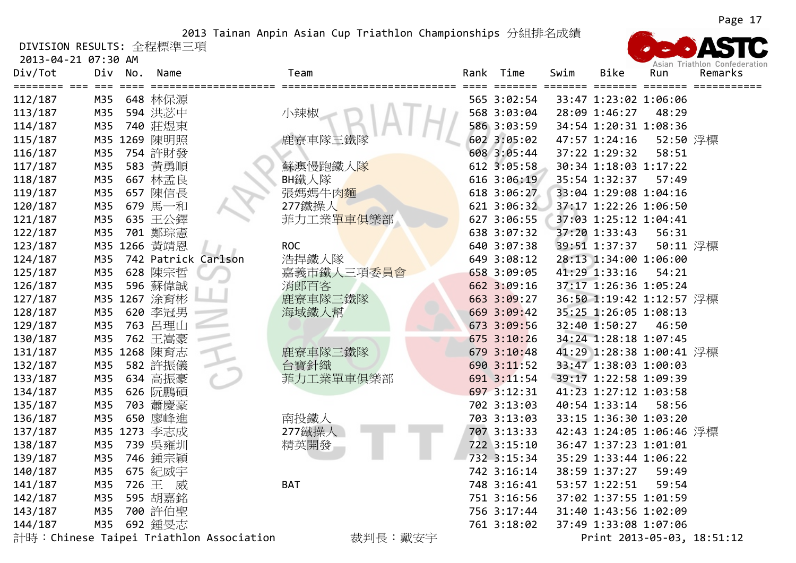DIVISION RESULTS: 全程標準三項

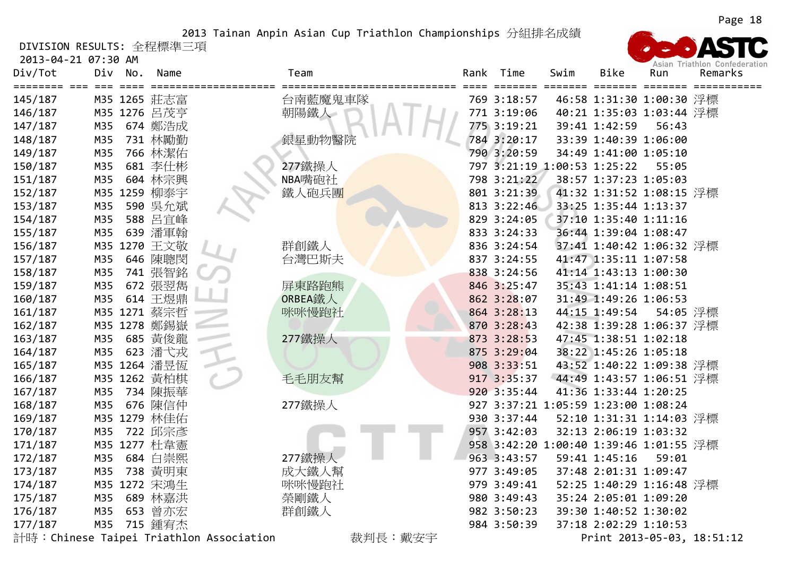DIVISION RESULTS: 全程標準三項

2013‐04‐21 07:30 AM



計時:Chinese Taipei Triathlon Association 裁判長:戴安宇 Print <sup>2013</sup>‐05‐03, 18:51:12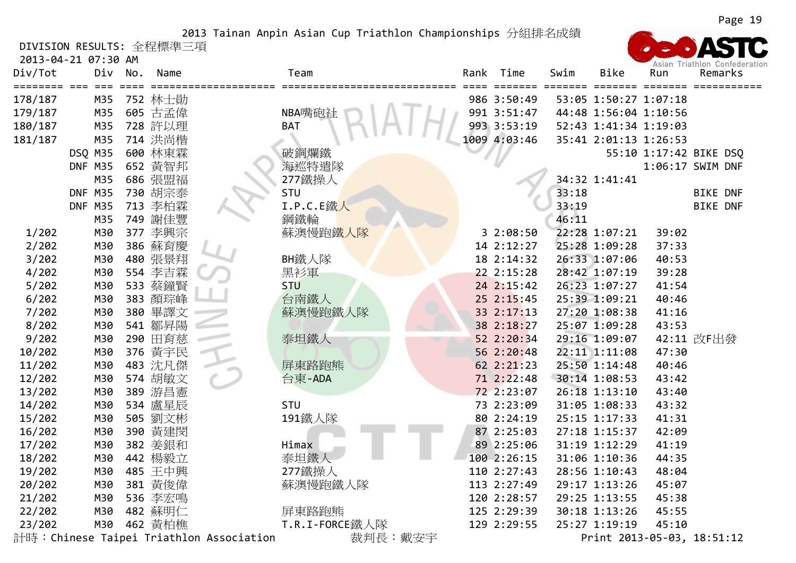DIVISION RESULTS: 全程標準三項

2013‐04‐21 07:30 AM



計時:Chinese Taipei Triathlon Association 裁判長:戴安宇 Print 2013-05-03, 18:51:12

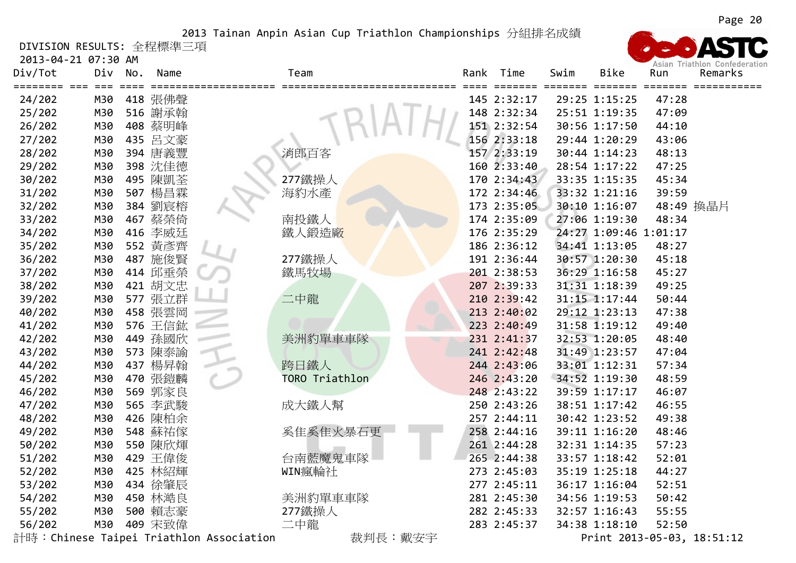DIVISION RESULTS: 全程標準三項

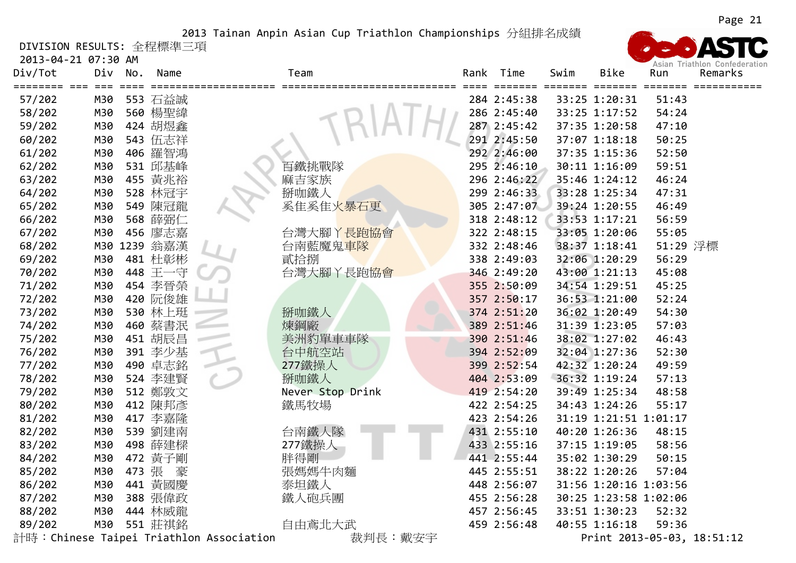DIVISION RESULTS: 全程標準三項

2013‐04‐21 07:30 AM

| Div/Tot          | 2013-04-21 07:30 AM<br>Div | No.   | Name               |                                         | Team             | Rank | Time        | Swim | <b>Bike</b>                    | Run      | Asian Triathlon Confederation<br>Remarks |
|------------------|----------------------------|-------|--------------------|-----------------------------------------|------------------|------|-------------|------|--------------------------------|----------|------------------------------------------|
|                  | M30                        |       |                    |                                         |                  |      | 284 2:45:38 |      |                                | 51:43    |                                          |
| 57/202<br>58/202 | M30                        |       | 553 石益誠<br>560 楊聖緯 |                                         |                  |      | 286 2:45:40 |      | 33:25 1:20:31<br>33:25 1:17:52 | 54:24    |                                          |
| 59/202           | M30                        |       | 424 胡煜鑫            |                                         |                  |      | 287 2:45:42 |      | 37:35 1:20:58                  | 47:10    |                                          |
| 60/202           | M30                        |       | 543 伍志祥            |                                         |                  |      | 291 2:45:50 |      | 37:07 1:18:18                  | 50:25    |                                          |
| 61/202           | M30                        |       | 406 羅智鴻            |                                         |                  |      | 292 2:46:00 |      | 37:35 1:15:36                  | 52:50    |                                          |
| 62/202           | M30                        |       | 531 邱基峰            |                                         | 百鐵挑戰隊            |      | 295 2:46:10 |      | 30:11 1:16:09                  | 59:51    |                                          |
| 63/202           | M30                        |       | 455 黄兆裕            |                                         | 麻吉家族             |      | 296 2:46:22 |      | 35:46 1:24:12                  | 46:24    |                                          |
| 64/202           | M30                        |       | 528 林冠宇            |                                         | 掰咖鐵人             |      | 299 2:46:33 |      | 33:28 1:25:34                  | 47:31    |                                          |
| 65/202           | M30                        |       | 549 陳冠龍            |                                         | 奚隹奚隹火暴石更         |      | 305 2:47:07 |      | 39:24 1:20:55                  | 46:49    |                                          |
| 66/202           | M30                        |       | 568 薛弼仁            |                                         |                  |      | 318 2:48:12 |      | 33:53 1:17:21                  | 56:59    |                                          |
| 67/202           | M30                        |       | 456 廖志嘉            |                                         | 台灣大腳丫長跑協會        |      | 322 2:48:15 |      | 33:05 1:20:06                  | 55:05    |                                          |
| 68/202           |                            |       | M30 1239 翁嘉漢       |                                         | 台南藍魔鬼車隊          |      | 332 2:48:46 |      | 38:37 1:18:41                  | 51:29 浮標 |                                          |
| 69/202           | M30                        |       | 481 杜彰彬            |                                         | 貳拾捌              |      | 338 2:49:03 |      | 32:06 1:20:29                  | 56:29    |                                          |
| 70/202           | M30                        |       | 448 王一守            |                                         | 台灣大腳丫長跑協會        |      | 346 2:49:20 |      | 43:00 1:21:13                  | 45:08    |                                          |
| 71/202           | M30                        |       | 454 李晉榮            |                                         |                  |      | 355 2:50:09 |      | 34:54 1:29:51                  | 45:25    |                                          |
| 72/202           | M30                        |       | 420 阮俊雄            |                                         |                  |      | 357 2:50:17 |      | 36:53 1:21:00                  | 52:24    |                                          |
| 73/202           | M30                        |       | 530 林上珽            |                                         | 掰咖鐵人             |      | 374 2:51:20 |      | 36:02 1:20:49                  | 54:30    |                                          |
| 74/202           | M30                        |       | 460 蔡書泯            |                                         | 煉鋼廠              |      | 389 2:51:46 |      | 31:39 1:23:05                  | 57:03    |                                          |
| 75/202           | M30                        |       | 451 胡辰昌            |                                         | 美洲豹單車車隊          |      | 390 2:51:46 |      | 38:02 1:27:02                  | 46:43    |                                          |
| 76/202           | M30                        |       | 391 李少基            |                                         | 台中航空站            |      | 394 2:52:09 |      | 32:04 1:27:36                  | 52:30    |                                          |
| 77/202           | M30                        |       | 490 卓志銘            |                                         | 277鐵操人           |      | 399 2:52:54 |      | 42:32 1:20:24                  | 49:59    |                                          |
| 78/202           | M30                        |       | 524 李建賢            |                                         | 掰咖鐵人             |      | 404 2:53:09 |      | 36:32 1:19:24                  | 57:13    |                                          |
| 79/202           | M30                        |       | 512 鄭敦文            |                                         | Never Stop Drink |      | 419 2:54:20 |      | 39:49 1:25:34                  | 48:58    |                                          |
| 80/202           | M30                        |       | 412 陳邦彥            |                                         | 鐵馬牧場             |      | 422 2:54:25 |      | 34:43 1:24:26                  | 55:17    |                                          |
| 81/202           | M30                        |       | 417 李嘉隆            |                                         |                  |      | 423 2:54:26 |      | 31:19 1:21:51 1:01:17          |          |                                          |
| 82/202           | M30                        |       | 539 劉建南            |                                         | 台南鐵人隊            |      | 431 2:55:10 |      | 40:20 1:26:36                  | 48:15    |                                          |
| 83/202           | M30                        |       | 498 薛建樑            |                                         | 277鐵操人           |      | 433 2:55:16 |      | 37:15 1:19:05                  | 58:56    |                                          |
| 84/202           | M30                        |       | 472 黃子剛            |                                         | 胖得剛              |      | 441 2:55:44 |      | 35:02 1:30:29                  | 50:15    |                                          |
| 85/202           | M30                        | 473 張 | 豪                  |                                         | 張媽媽牛肉麵           |      | 445 2:55:51 |      | 38:22 1:20:26                  | 57:04    |                                          |
| 86/202           | M30                        |       | 441 黃國慶            |                                         | 泰坦鐵人             |      | 448 2:56:07 |      | 31:56 1:20:16 1:03:56          |          |                                          |
| 87/202           | M30                        |       | 388 張偉政            |                                         | 鐵人砲兵團            |      | 455 2:56:28 |      | 30:25 1:23:58 1:02:06          |          |                                          |
| 88/202           | M30                        |       | 444 林威龍            |                                         |                  |      | 457 2:56:45 |      | 33:51 1:30:23                  | 52:32    |                                          |
| 89/202           | M30                        |       | 551 莊祺銘            |                                         | 自由鳶北大武           |      | 459 2:56:48 |      | 40:55 1:16:18                  | 59:36    |                                          |
|                  |                            |       |                    | 計時:Chinese Taipei Triathlon Association | 裁判長:戴安宇          |      |             |      |                                |          | Print 2013-05-03, 18:51:12               |

Page 21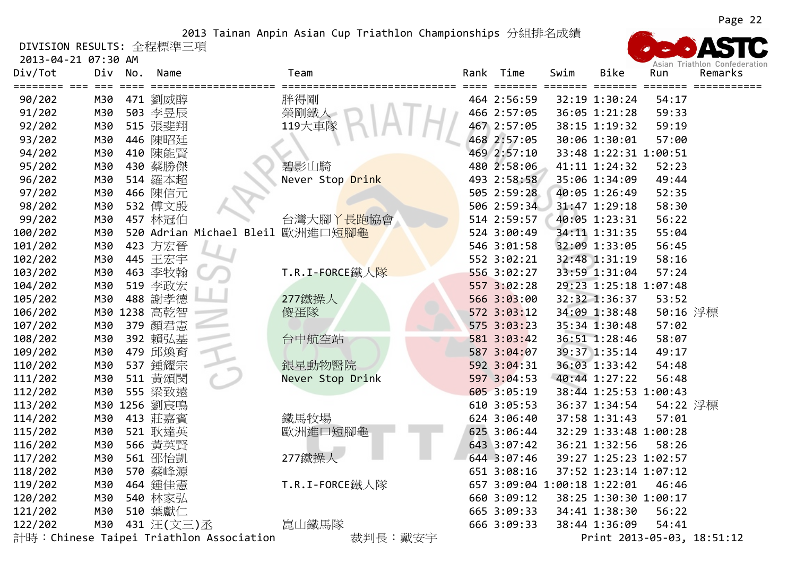DIVISION RESULTS: 全程標準三項

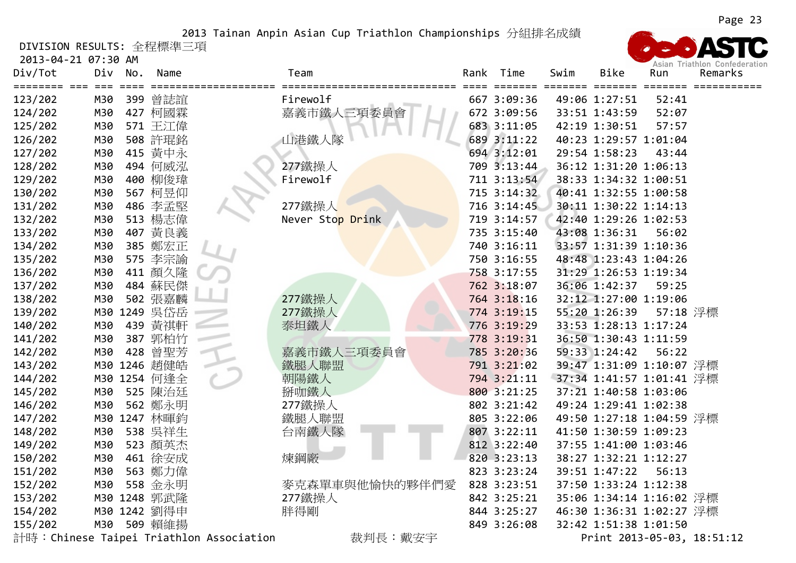DIVISION RESULTS: 全程標準三項

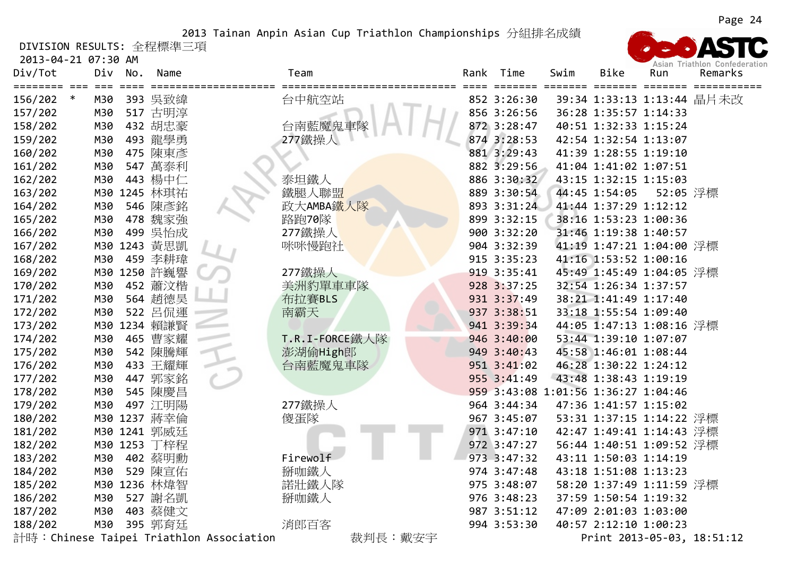DIVISION RESULTS: 全程標準三項

| Div/Tot           | Div          | No. | Name         |                                         | Team           |         | Rank | Time                   | Swim  | <b>Bike</b>                         | Run      | ASIAII THAUTUUT CUITEUCLAU<br>Remarks |
|-------------------|--------------|-----|--------------|-----------------------------------------|----------------|---------|------|------------------------|-------|-------------------------------------|----------|---------------------------------------|
| 156/202<br>$\ast$ | $===$<br>M30 |     | 393 吳致緯      |                                         | 台中航空站          |         |      | =======<br>852 3:26:30 | ===== | ======= =======                     |          | 39:34 1:33:13 1:13:44 晶片未改            |
| 157/202           | M30          |     | 517 古明淳      |                                         |                |         |      | 856 3:26:56            |       | 36:28 1:35:57 1:14:33               |          |                                       |
| 158/202           | M30          |     | 432 胡忠豪      |                                         | 台南藍魔鬼車隊        |         |      | 872 3:28:47            |       | 40:51 1:32:33 1:15:24               |          |                                       |
| 159/202           | M30          |     | 493 龍學勇      |                                         | 277鐵操人         |         |      | 874 3:28:53            |       | 42:54 1:32:54 1:13:07               |          |                                       |
| 160/202           | M30          |     | 475 陳東彥      |                                         |                |         |      | 881 3:29:43            |       | 41:39 1:28:55 1:19:10               |          |                                       |
| 161/202           | M30          |     | 547 萬泰利      |                                         |                |         |      | 882 3:29:56            |       | 41:04 1:41:02 1:07:51               |          |                                       |
| 162/202           | M30          |     | 443 楊中仁      |                                         | 泰坦鐵人           |         |      | 886 3:30:32            |       | 43:15 1:32:15 1:15:03               |          |                                       |
| 163/202           |              |     | M30 1245 林琪祐 |                                         | 鐵腿人聯盟          |         |      | 889 3:30:54            |       | 44:45 1:54:05                       | 52:05 浮標 |                                       |
| 164/202           | M30          |     | 546 陳彥銘      |                                         | 政大AMBA鐵人隊      |         |      | 893 3:31:24            |       | 41:44 1:37:29 1:12:12               |          |                                       |
| 165/202           | M30          |     | 478 魏家強      |                                         | 路跑70隊          |         |      | 899 3:32:15            |       | 38:16 1:53:23 1:00:36               |          |                                       |
| 166/202           | M30          |     | 499 吳怡成      |                                         | 277鐵操人         |         |      | 900 3:32:20            |       | 31:46 1:19:38 1:40:57               |          |                                       |
| 167/202           |              |     | M30 1243 黃思凱 |                                         | 咪咪慢跑社          |         |      | 904 3:32:39            |       | 41:19 1:47:21 1:04:00 浮標            |          |                                       |
| 168/202           | M30          |     | 459 李耕瑋      |                                         |                |         |      | 915 3:35:23            |       | 41:16 1:53:52 1:00:16               |          |                                       |
| 169/202           |              |     | M30 1250 許巍譽 |                                         | 277鐵操人         |         |      | 919 3:35:41            |       | 45:49 1:45:49 1:04:05 浮標            |          |                                       |
| 170/202           | M30          |     | 452 蕭汶楷      |                                         | 美洲豹單車車隊        |         |      | 928 3:37:25            |       | 32:54 1:26:34 1:37:57               |          |                                       |
| 171/202           | M30          |     | 564 趙德昊      |                                         | 布拉賽BLS         |         |      | 931 3:37:49            |       | 38:21 1:41:49 1:17:40               |          |                                       |
| 172/202           | M30          | 522 | 呂侃運          |                                         | 南霸天            |         |      | 937 3:38:51            |       | 33:18 1:55:54 1:09:40               |          |                                       |
| 173/202           |              |     | M30 1234 賴謙賢 |                                         |                |         |      | 941 3:39:34            |       | 44:05 1:47:13 1:08:16 浮標            |          |                                       |
| 174/202           | M30          | 465 | 曹家耀          |                                         | T.R.I-FORCE鐵人隊 |         |      | 946 3:40:00            |       | 53:44 1:39:10 1:07:07               |          |                                       |
| 175/202           | M30          |     | 542 陳騰輝      |                                         | 澎湖偷High郎       |         |      | 949 3:40:43            |       | 45:58 1:46:01 1:08:44               |          |                                       |
| 176/202           | M30          |     | 433 王耀輝      |                                         | 台南藍魔鬼車隊        |         |      | 951 3:41:02            |       | 46:28 1:30:22 1:24:12               |          |                                       |
| 177/202           | M30          |     | 447 郭家銘      |                                         |                |         |      | 955 3:41:49            |       | 43:48 1:38:43 1:19:19               |          |                                       |
| 178/202           | M30          |     | 545 陳慶昌      |                                         |                |         |      |                        |       | 959 3:43:08 1:01:56 1:36:27 1:04:46 |          |                                       |
| 179/202           | M30          |     | 497 江明陽      |                                         | 277鐵操人         |         |      | 964 3:44:34            |       | 47:36 1:41:57 1:15:02               |          |                                       |
| 180/202           |              |     | M30 1237 蔣幸倫 |                                         | 傻蛋隊            |         |      | 967 3:45:07            |       | 53:31 1:37:15 1:14:22 浮標            |          |                                       |
| 181/202           |              |     | M30 1241 郭威廷 |                                         |                |         |      | 971 3:47:10            |       | 42:47 1:49:41 1:14:43 浮標            |          |                                       |
| 182/202           |              |     | M30 1253 丁梓程 |                                         |                |         |      | 972 3:47:27            |       | 56:44 1:40:51 1:09:52 浮標            |          |                                       |
| 183/202           | M30          |     | 402 蔡明勳      |                                         | Firewolf       |         |      | 973 3:47:32            |       | 43:11 1:50:03 1:14:19               |          |                                       |
| 184/202           | M30          |     | 529 陳宣佑      |                                         | 掰咖鐵人           |         |      | 974 3:47:48            |       | 43:18 1:51:08 1:13:23               |          |                                       |
| 185/202           |              |     | M30 1236 林煒智 |                                         | 諾壯鐵人隊          |         |      | 975 3:48:07            |       | 58:20 1:37:49 1:11:59 浮標            |          |                                       |
| 186/202           | M30          |     | 527 謝名凱      |                                         | 掰咖鐵人           |         |      | 976 3:48:23            |       | 37:59 1:50:54 1:19:32               |          |                                       |
| 187/202           | M30          |     | 403 蔡健文      |                                         |                |         |      | 987 3:51:12            |       | 47:09 2:01:03 1:03:00               |          |                                       |
| 188/202           | M30          |     | 395 郭育廷      |                                         | 消郎百客           |         |      | 994 3:53:30            |       | 40:57 2:12:10 1:00:23               |          |                                       |
|                   |              |     |              | 計時:Chinese Taipei Triathlon Association |                | 裁判長:戴安宇 |      |                        |       |                                     |          | Print 2013-05-03, 18:51:12            |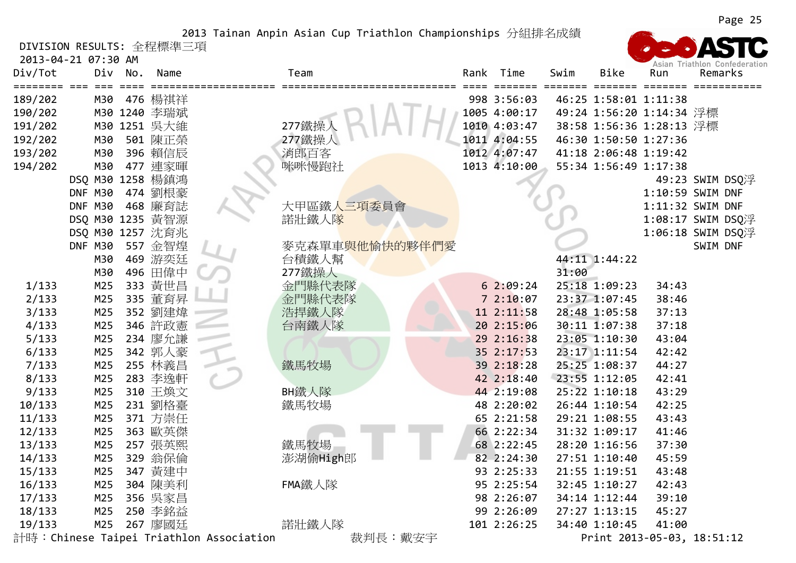DIVISION RESULTS: 全程標準三項

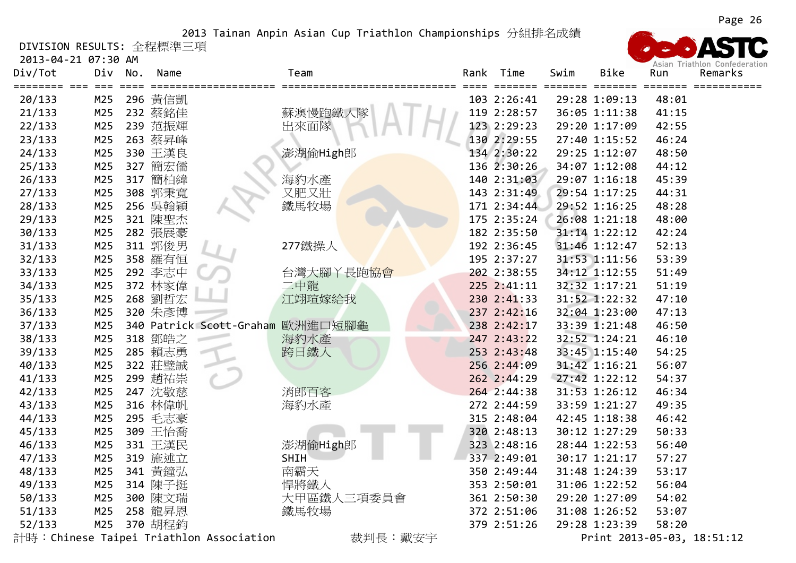DIVISION RESULTS: 全程標準三項

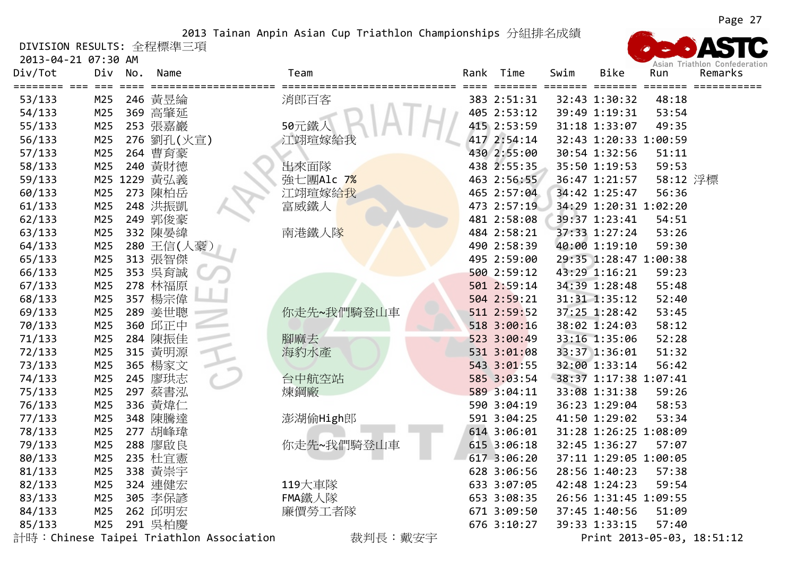DIVISION RESULTS: 全程標準三項

2013‐04‐21 07:30 AM

| Div/Tot | Div          | No. | Name         | Team       | Rank | Time                   | Swim  | Bike                     | Run             | ASIAII THAURUIL CUIRCUCIAU<br>Remarks |
|---------|--------------|-----|--------------|------------|------|------------------------|-------|--------------------------|-----------------|---------------------------------------|
| 53/133  | $===$<br>M25 |     | 246 黄昱綸      | 消郎百客       |      | =======<br>383 2:51:31 | ===== | =======<br>32:43 1:30:32 | ======<br>48:18 |                                       |
| 54/133  | M25          |     | 369 高肇延      |            |      | 405 2:53:12            |       | 39:49 1:19:31            | 53:54           |                                       |
| 55/133  | M25          |     | 253 張嘉巖      | 50元鐵人      |      | 415 2:53:59            |       | 31:18 1:33:07            | 49:35           |                                       |
| 56/133  | M25          |     | 276 劉孔(火宣)   | 江翊瑄嫁給我     |      | 417 2:54:14            |       | 32:43 1:20:33 1:00:59    |                 |                                       |
| 57/133  | M25          |     | 264 曹育豪      |            |      | 430 2:55:00            |       | 30:54 1:32:56            | 51:11           |                                       |
| 58/133  | M25          |     | 240 黃財德      | 出來面隊       |      | 438 2:55:35            |       | 35:50 1:19:53            | 59:53           |                                       |
| 59/133  |              |     | M25 1229 黃弘義 | 強七團Alc 7%  |      | 463 2:56:55            |       | 36:47 1:21:57            | 58:12 浮標        |                                       |
| 60/133  | M25          |     | 273 陳柏岳      | 江翊瑄嫁給我     |      | 465 2:57:04            |       | 34:42 1:25:47            | 56:36           |                                       |
| 61/133  | M25          |     | 248 洪振凱      | 富威鐵人       |      | 473 2:57:19            |       | 34:29 1:20:31 1:02:20    |                 |                                       |
| 62/133  | M25          |     | 249 郭俊豪      |            |      | 481 2:58:08            |       | 39:37 1:23:41            | 54:51           |                                       |
| 63/133  | M25          |     | 332 陳晏緯      | 南港鐵人隊      |      | 484 2:58:21            |       | 37:33 1:27:24            | 53:26           |                                       |
| 64/133  | M25          |     | 280 王信(人豪)   |            |      | 490 2:58:39            |       | 40:00 1:19:10            | 59:30           |                                       |
| 65/133  | M25          |     | 313 張智傑      |            |      | 495 2:59:00            |       | 29:35 1:28:47 1:00:38    |                 |                                       |
| 66/133  | M25          |     | 353 吳育誠      |            |      | 500 2:59:12            |       | 43:29 1:16:21            | 59:23           |                                       |
| 67/133  | M25          |     | 278 林福原      |            |      | 501 2:59:14            |       | 34:39 1:28:48            | 55:48           |                                       |
| 68/133  | M25          |     | 357 楊宗偉      |            |      | 504 2:59:21            |       | 31:31 1:35:12            | 52:40           |                                       |
| 69/133  | M25          |     | 289 姜世聰      | 你走先~我們騎登山車 |      | 511 2:59:52            |       | 37:25 1:28:42            | 53:45           |                                       |
| 70/133  | M25          |     | 360 邱正中      |            |      | 518 3:00:16            |       | 38:02 1:24:03            | 58:12           |                                       |
| 71/133  | M25          |     | 284 陳振佳      | 腳麻去        |      | 523 3:00:49            |       | 33:16 1:35:06            | 52:28           |                                       |
| 72/133  | M25          |     | 315 黄明源      | 海豹水產       |      | 531 3:01:08            |       | 33:37 1:36:01            | 51:32           |                                       |
| 73/133  | M25          |     | 365 楊家文      |            |      | 543 3:01:55            |       | 32:00 1:33:14            | 56:42           |                                       |
| 74/133  | M25          |     | 245 廖珙志      | 台中航空站      |      | 585 3:03:54            |       | 38:37 1:17:38 1:07:41    |                 |                                       |
| 75/133  | M25          |     | 297 蔡書泓      | 煉鋼廠        |      | 589 3:04:11            |       | 33:08 1:31:38            | 59:26           |                                       |
| 76/133  | M25          |     | 336 黃煒仁      |            |      | 590 3:04:19            |       | 36:23 1:29:04            | 58:53           |                                       |
| 77/133  | M25          |     | 348 陳騰達      | 澎湖偷High郎   |      | 591 3:04:25            |       | 41:50 1:29:02            | 53:34           |                                       |
| 78/133  | M25          |     | 277 胡峰瑋      |            |      | 614 3:06:01            |       | 31:28 1:26:25 1:08:09    |                 |                                       |
| 79/133  | M25          |     | 288 廖啟良      | 你走先~我們騎登山車 |      | 615 3:06:18            |       | 32:45 1:36:27            | 57:07           |                                       |
| 80/133  | M25          |     | 235 杜宜憲      |            |      | 617 3:06:20            |       | 37:11 1:29:05 1:00:05    |                 |                                       |
| 81/133  | M25          |     | 338 黄崇宇      |            |      | 628 3:06:56            |       | 28:56 1:40:23            | 57:38           |                                       |
| 82/133  | M25          |     | 324 連健宏      | 119大車隊     |      | 633 3:07:05            |       | 42:48 1:24:23            | 59:54           |                                       |
| 83/133  | M25          |     | 305 李保諺      | FMA鐵人隊     |      | 653 3:08:35            |       | 26:56 1:31:45 1:09:55    |                 |                                       |
| 84/133  | M25          |     | 262 邱明宏      | 廉價勞工者隊     |      | 671 3:09:50            |       | 37:45 1:40:56            | 51:09           |                                       |
| 85/133  | M25          |     | 291 吳柏慶      |            |      | 676 3:10:27            |       | 39:33 1:33:15            | 57:40           |                                       |

計時:Chinese Taipei Triathlon Association 裁判長:戴安宇 Print <sup>2013</sup>‐05‐03, 18:51:12

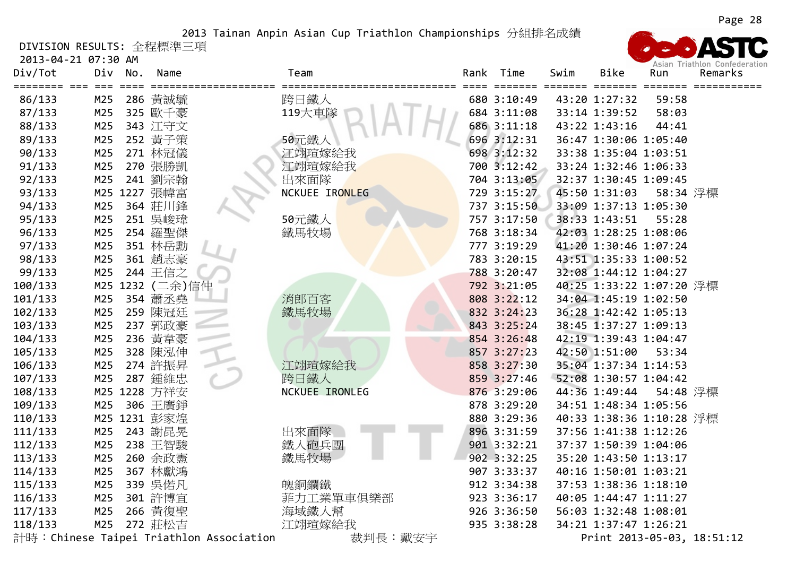DIVISION RESULTS: 全程標準三項

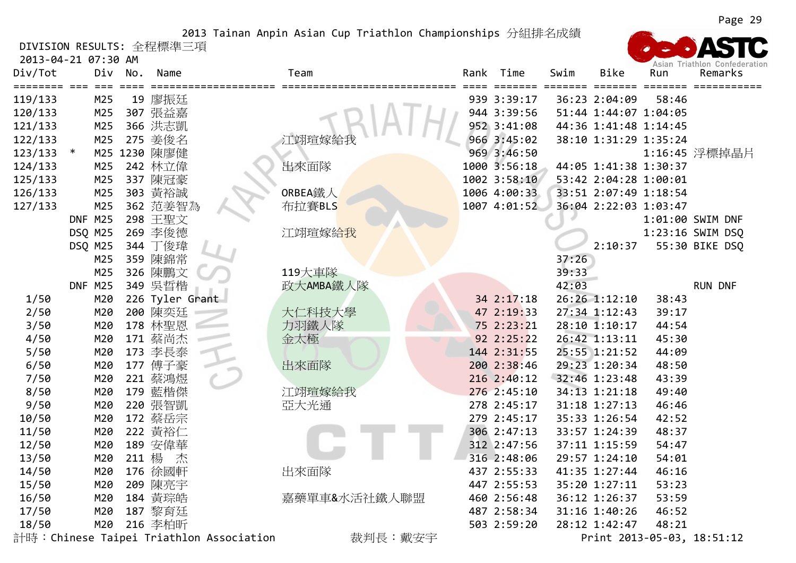DIVISION RESULTS: 全程標準三項

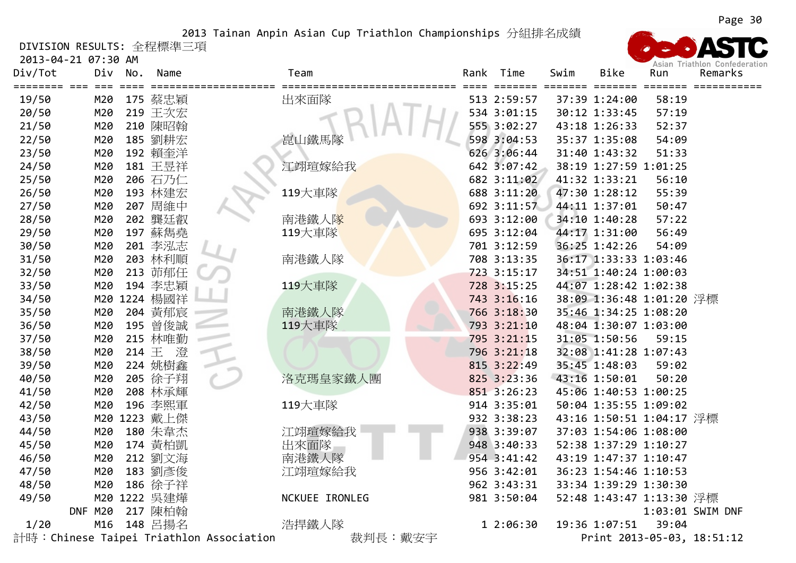DIVISION RESULTS: 全程標準三項

2013‐04‐21 07:30 AM

| Div/Tot | Div        | No. | Name           | Team                                               | Rank | Time        | Swim | <b>Bike</b>              | Run   | ASIGN NIGHTON CONCOCION<br>Remarks |
|---------|------------|-----|----------------|----------------------------------------------------|------|-------------|------|--------------------------|-------|------------------------------------|
| 19/50   | ===<br>M20 |     | 175 蔡忠穎        | ==============<br>===================<br>出來面隊      | ===  | 513 2:59:57 |      | 37:39 1:24:00            | 58:19 |                                    |
| 20/50   | M20        |     | 219 王次宏        |                                                    |      | 534 3:01:15 |      | 30:12 1:33:45            | 57:19 |                                    |
| 21/50   | M20        |     | 210 陳昭翰        |                                                    |      | 555 3:02:27 |      | 43:18 1:26:33            | 52:37 |                                    |
| 22/50   | M20        |     | 185 劉耕宏        | 崑山鐵馬隊                                              |      | 598 3:04:53 |      | 35:37 1:35:08            | 54:09 |                                    |
| 23/50   | M20        |     | 192 賴奎洋        |                                                    |      | 626 3:06:44 |      | 31:40 1:43:32            | 51:33 |                                    |
| 24/50   | M20        |     | 181 王昱祥        | 江翊瑄嫁給我                                             |      | 642 3:07:42 |      | 38:19 1:27:59 1:01:25    |       |                                    |
| 25/50   | M20        |     | 206 石乃仁        |                                                    |      | 682 3:11:02 |      | 41:32 1:33:21            | 56:10 |                                    |
| 26/50   | M20        |     | 193 林建宏        | 119大車隊                                             |      | 688 3:11:20 |      | 47:30 1:28:12            | 55:39 |                                    |
| 27/50   | M20        |     | 207 周維中        |                                                    |      | 692 3:11:57 |      | 44:11 1:37:01            | 50:47 |                                    |
| 28/50   | M20        |     | 202 龔廷叡        | 南港鐵人隊                                              |      | 693 3:12:00 |      | 34:10 1:40:28            | 57:22 |                                    |
| 29/50   | M20        |     | 197 蘇雋堯        | 119大車隊                                             |      | 695 3:12:04 |      | 44:17 1:31:00            | 56:49 |                                    |
| 30/50   | M20        |     | 201 李泓志        |                                                    |      | 701 3:12:59 |      | 36:25 1:42:26            | 54:09 |                                    |
| 31/50   | M20        |     | 203 林利順        | 南港鐵人隊                                              |      | 708 3:13:35 |      | 36:17 1:33:33 1:03:46    |       |                                    |
| 32/50   | M20        |     | 213 茆郁任        |                                                    |      | 723 3:15:17 |      | 34:51 1:40:24 1:00:03    |       |                                    |
| 33/50   | M20        |     | 194 李忠穎        | 119大車隊                                             |      | 728 3:15:25 |      | 44:07 1:28:42 1:02:38    |       |                                    |
| 34/50   |            |     | M20 1224 楊國祥   |                                                    |      | 743 3:16:16 |      | 38:09 1:36:48 1:01:20 浮標 |       |                                    |
| 35/50   | M20        |     | 204 黃郁宸        | 南港鐵人隊                                              |      | 766 3:18:30 |      | 35:46 1:34:25 1:08:20    |       |                                    |
| 36/50   | M20        | 195 | 曾俊誠            | 119大車隊                                             |      | 793 3:21:10 |      | 48:04 1:30:07 1:03:00    |       |                                    |
| 37/50   | M20        |     | 215 林唯勤        |                                                    |      | 795 3:21:15 |      | 31:05 1:50:56            | 59:15 |                                    |
| 38/50   | M20        |     | 214 $\pm$<br>澄 |                                                    |      | 796 3:21:18 |      | 32:08 1:41:28 1:07:43    |       |                                    |
| 39/50   | M20        |     | 224 姚樹鑫        |                                                    |      | 815 3:22:49 |      | 35:45 1:48:03            | 59:02 |                                    |
| 40/50   | M20        |     | 205 徐子翔        | 洛克瑪皇家鐵人團                                           |      | 825 3:23:36 |      | 43:16 1:50:01            | 50:20 |                                    |
| 41/50   | M20        |     | 208 林承輝        |                                                    |      | 851 3:26:23 |      | 45:06 1:40:53 1:00:25    |       |                                    |
| 42/50   | M20        |     | 196 李熙軍        | 119大車隊                                             |      | 914 3:35:01 |      | 50:04 1:35:55 1:09:02    |       |                                    |
| 43/50   |            |     | M20 1223 戴上傑   |                                                    |      | 932 3:38:23 |      | 43:16 1:50:51 1:04:17 浮標 |       |                                    |
| 44/50   | M20        |     | 180 朱韋杰        | 江翊瑄嫁給我                                             |      | 938 3:39:07 |      | 37:03 1:54:06 1:08:00    |       |                                    |
| 45/50   | M20        |     | 174 黃柏凱        | 出來面隊                                               |      | 948 3:40:33 |      | 52:38 1:37:29 1:10:27    |       |                                    |
| 46/50   | M20        |     | 212 劉文海        | 南港鐵人隊                                              |      | 954 3:41:42 |      | 43:19 1:47:37 1:10:47    |       |                                    |
| 47/50   | M20        |     | 183 劉彥俊        | 江翊瑄嫁給我                                             |      | 956 3:42:01 |      | 36:23 1:54:46 1:10:53    |       |                                    |
| 48/50   | M20        |     | 186 徐子祥        |                                                    |      | 962 3:43:31 |      | 33:34 1:39:29 1:30:30    |       |                                    |
| 49/50   | M20        |     | 1222 吳建燁       | NCKUEE IRONLEG                                     |      | 981 3:50:04 |      | 52:48 1:43:47 1:13:30 浮標 |       |                                    |
|         | DNF M20    |     | 217 陳柏翰        |                                                    |      |             |      |                          |       | 1:03:01 SWIM DNF                   |
| 1/20    | M16        |     | 148 呂揚名        | 浩捍鐵人隊                                              |      | 1 2:06:30   |      | 19:36 1:07:51            | 39:04 |                                    |
|         |            |     |                | 計時:Chinese Taipei Triathlon Association<br>裁判長:戴安宇 |      |             |      |                          |       | Print 2013-05-03, 18:51:12         |

Acion Iniothlan Confodo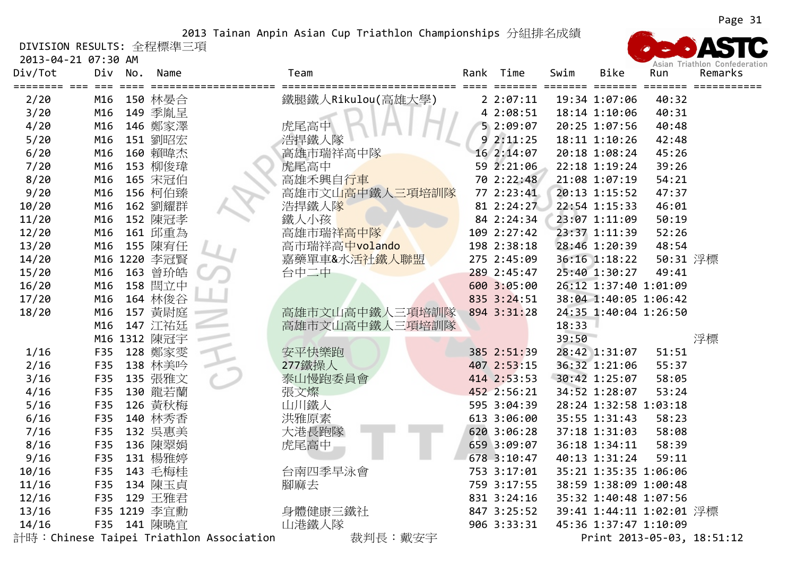DIVISION RESULTS: 全程標準三項